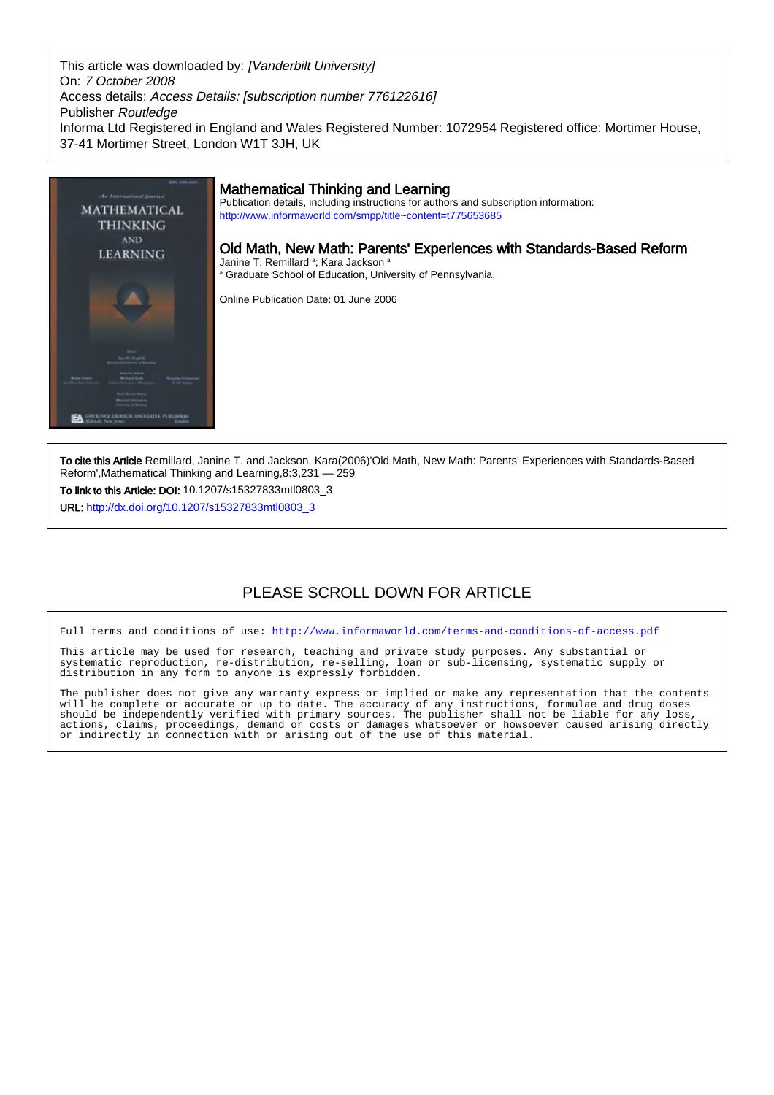This article was downloaded by: [Vanderbilt University] On: 7 October 2008 Access details: Access Details: [subscription number 776122616] Publisher Routledge Informa Ltd Registered in England and Wales Registered Number: 1072954 Registered office: Mortimer House, 37-41 Mortimer Street, London W1T 3JH, UK



To cite this Article Remillard, Janine T. and Jackson, Kara(2006)'Old Math, New Math: Parents' Experiences with Standards-Based Reform',Mathematical Thinking and Learning,8:3,231 — 259 To link to this Article: DOI: 10.1207/s15327833mtl0803\_3

URL: [http://dx.doi.org/10.1207/s15327833mtl0803\\_3](http://dx.doi.org/10.1207/s15327833mtl0803_3)

# PLEASE SCROLL DOWN FOR ARTICLE

Full terms and conditions of use:<http://www.informaworld.com/terms-and-conditions-of-access.pdf>

This article may be used for research, teaching and private study purposes. Any substantial or systematic reproduction, re-distribution, re-selling, loan or sub-licensing, systematic supply or distribution in any form to anyone is expressly forbidden.

The publisher does not give any warranty express or implied or make any representation that the contents will be complete or accurate or up to date. The accuracy of any instructions, formulae and drug doses should be independently verified with primary sources. The publisher shall not be liable for any loss, actions, claims, proceedings, demand or costs or damages whatsoever or howsoever caused arising directly or indirectly in connection with or arising out of the use of this material.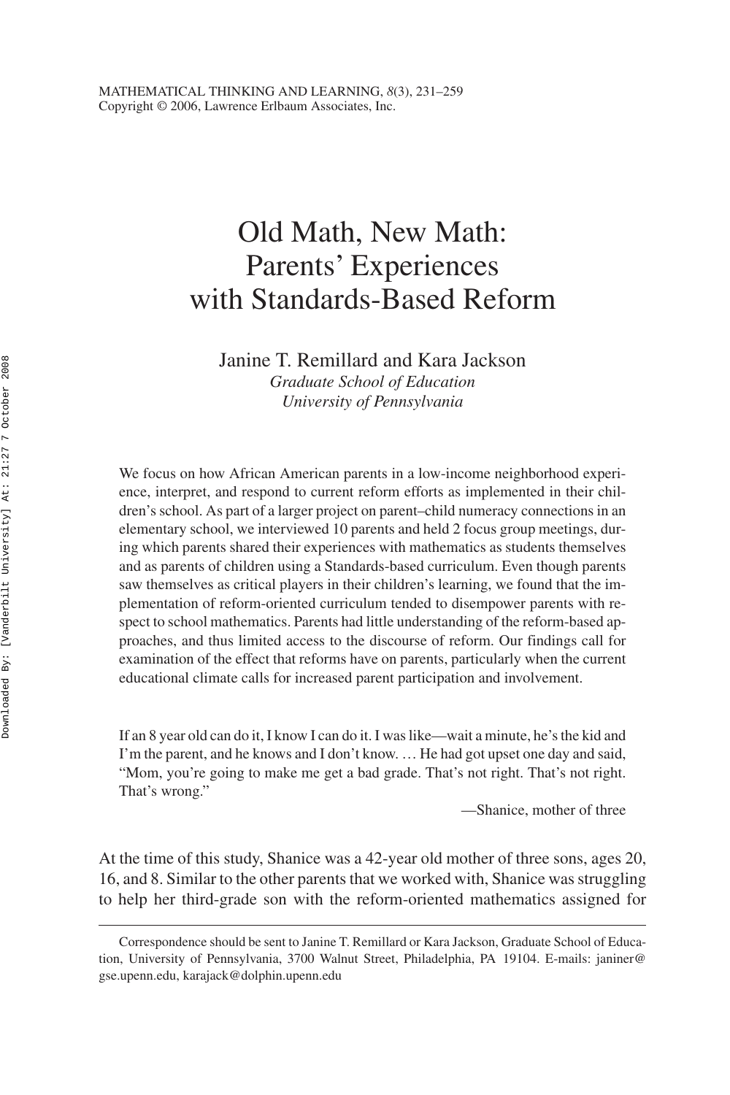# Old Math, New Math: Parents' Experiences with Standards-Based Reform

Janine T. Remillard and Kara Jackson

*Graduate School of Education University of Pennsylvania*

We focus on how African American parents in a low-income neighborhood experience, interpret, and respond to current reform efforts as implemented in their children's school. As part of a larger project on parent–child numeracy connections in an elementary school, we interviewed 10 parents and held 2 focus group meetings, during which parents shared their experiences with mathematics as students themselves and as parents of children using a Standards-based curriculum. Even though parents saw themselves as critical players in their children's learning, we found that the implementation of reform-oriented curriculum tended to disempower parents with respect to school mathematics. Parents had little understanding of the reform-based approaches, and thus limited access to the discourse of reform. Our findings call for examination of the effect that reforms have on parents, particularly when the current educational climate calls for increased parent participation and involvement.

If an 8 year old can do it, I know I can do it. I was like—wait a minute, he's the kid and I'm the parent, and he knows and I don't know. … He had got upset one day and said, "Mom, you're going to make me get a bad grade. That's not right. That's not right. That's wrong."

—Shanice, mother of three

At the time of this study, Shanice was a 42-year old mother of three sons, ages 20, 16, and 8. Similar to the other parents that we worked with, Shanice was struggling to help her third-grade son with the reform-oriented mathematics assigned for

Correspondence should be sent to Janine T. Remillard or Kara Jackson, Graduate School of Education, University of Pennsylvania, 3700 Walnut Street, Philadelphia, PA 19104. E-mails: janiner@ gse.upenn.edu, karajack@dolphin.upenn.edu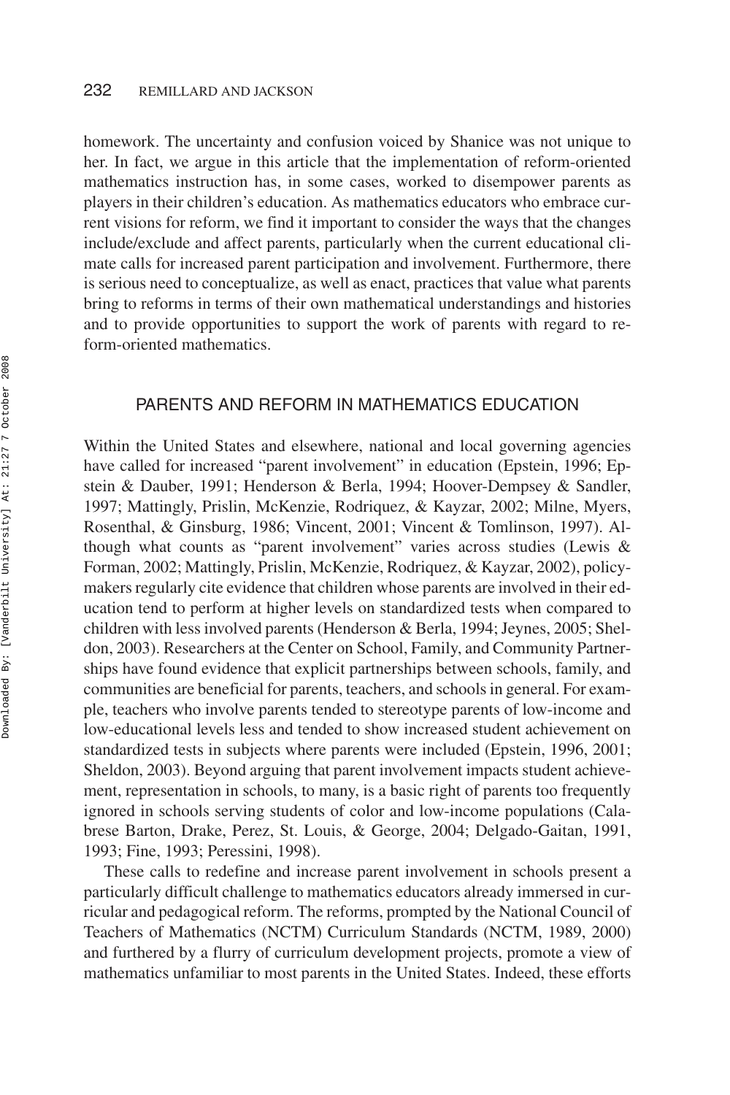homework. The uncertainty and confusion voiced by Shanice was not unique to her. In fact, we argue in this article that the implementation of reform-oriented mathematics instruction has, in some cases, worked to disempower parents as players in their children's education. As mathematics educators who embrace current visions for reform, we find it important to consider the ways that the changes include/exclude and affect parents, particularly when the current educational climate calls for increased parent participation and involvement. Furthermore, there is serious need to conceptualize, as well as enact, practices that value what parents bring to reforms in terms of their own mathematical understandings and histories and to provide opportunities to support the work of parents with regard to reform-oriented mathematics.

#### PARENTS AND REFORM IN MATHEMATICS EDUCATION

Within the United States and elsewhere, national and local governing agencies have called for increased "parent involvement" in education (Epstein, 1996; Epstein & Dauber, 1991; Henderson & Berla, 1994; Hoover-Dempsey & Sandler, 1997; Mattingly, Prislin, McKenzie, Rodriquez, & Kayzar, 2002; Milne, Myers, Rosenthal, & Ginsburg, 1986; Vincent, 2001; Vincent & Tomlinson, 1997). Although what counts as "parent involvement" varies across studies (Lewis & Forman, 2002; Mattingly, Prislin, McKenzie, Rodriquez, & Kayzar, 2002), policymakers regularly cite evidence that children whose parents are involved in their education tend to perform at higher levels on standardized tests when compared to children with less involved parents (Henderson & Berla, 1994; Jeynes, 2005; Sheldon, 2003). Researchers at the Center on School, Family, and Community Partnerships have found evidence that explicit partnerships between schools, family, and communities are beneficial for parents, teachers, and schools in general. For example, teachers who involve parents tended to stereotype parents of low-income and low-educational levels less and tended to show increased student achievement on standardized tests in subjects where parents were included (Epstein, 1996, 2001; Sheldon, 2003). Beyond arguing that parent involvement impacts student achievement, representation in schools, to many, is a basic right of parents too frequently ignored in schools serving students of color and low-income populations (Calabrese Barton, Drake, Perez, St. Louis, & George, 2004; Delgado-Gaitan, 1991, 1993; Fine, 1993; Peressini, 1998).

These calls to redefine and increase parent involvement in schools present a particularly difficult challenge to mathematics educators already immersed in curricular and pedagogical reform. The reforms, prompted by the National Council of Teachers of Mathematics (NCTM) Curriculum Standards (NCTM, 1989, 2000) and furthered by a flurry of curriculum development projects, promote a view of mathematics unfamiliar to most parents in the United States. Indeed, these efforts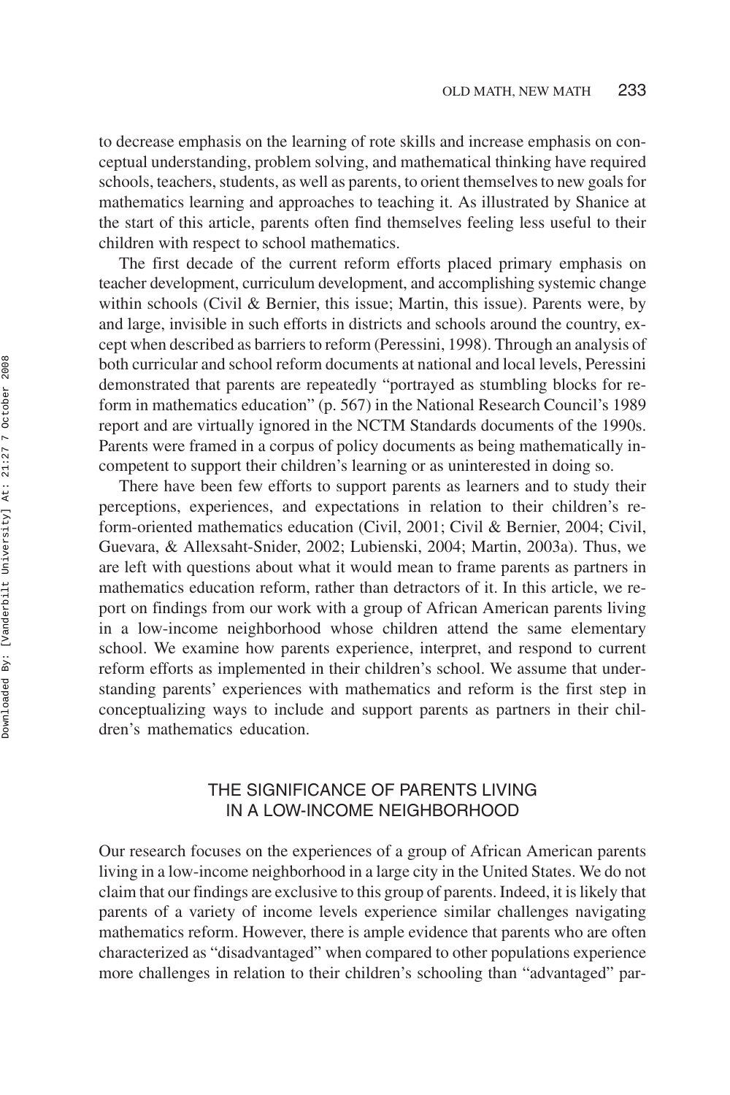to decrease emphasis on the learning of rote skills and increase emphasis on conceptual understanding, problem solving, and mathematical thinking have required schools, teachers, students, as well as parents, to orient themselves to new goals for mathematics learning and approaches to teaching it. As illustrated by Shanice at the start of this article, parents often find themselves feeling less useful to their children with respect to school mathematics.

The first decade of the current reform efforts placed primary emphasis on teacher development, curriculum development, and accomplishing systemic change within schools (Civil & Bernier, this issue; Martin, this issue). Parents were, by and large, invisible in such efforts in districts and schools around the country, except when described as barriers to reform (Peressini, 1998). Through an analysis of both curricular and school reform documents at national and local levels, Peressini demonstrated that parents are repeatedly "portrayed as stumbling blocks for reform in mathematics education" (p. 567) in the National Research Council's 1989 report and are virtually ignored in the NCTM Standards documents of the 1990s. Parents were framed in a corpus of policy documents as being mathematically incompetent to support their children's learning or as uninterested in doing so.

There have been few efforts to support parents as learners and to study their perceptions, experiences, and expectations in relation to their children's reform-oriented mathematics education (Civil, 2001; Civil & Bernier, 2004; Civil, Guevara, & Allexsaht-Snider, 2002; Lubienski, 2004; Martin, 2003a). Thus, we are left with questions about what it would mean to frame parents as partners in mathematics education reform, rather than detractors of it. In this article, we report on findings from our work with a group of African American parents living in a low-income neighborhood whose children attend the same elementary school. We examine how parents experience, interpret, and respond to current reform efforts as implemented in their children's school. We assume that understanding parents' experiences with mathematics and reform is the first step in conceptualizing ways to include and support parents as partners in their children's mathematics education.

### THE SIGNIFICANCE OF PARENTS LIVING IN A LOW-INCOME NEIGHBORHOOD

Our research focuses on the experiences of a group of African American parents living in a low-income neighborhood in a large city in the United States. We do not claim that our findings are exclusive to this group of parents. Indeed, it is likely that parents of a variety of income levels experience similar challenges navigating mathematics reform. However, there is ample evidence that parents who are often characterized as "disadvantaged" when compared to other populations experience more challenges in relation to their children's schooling than "advantaged" par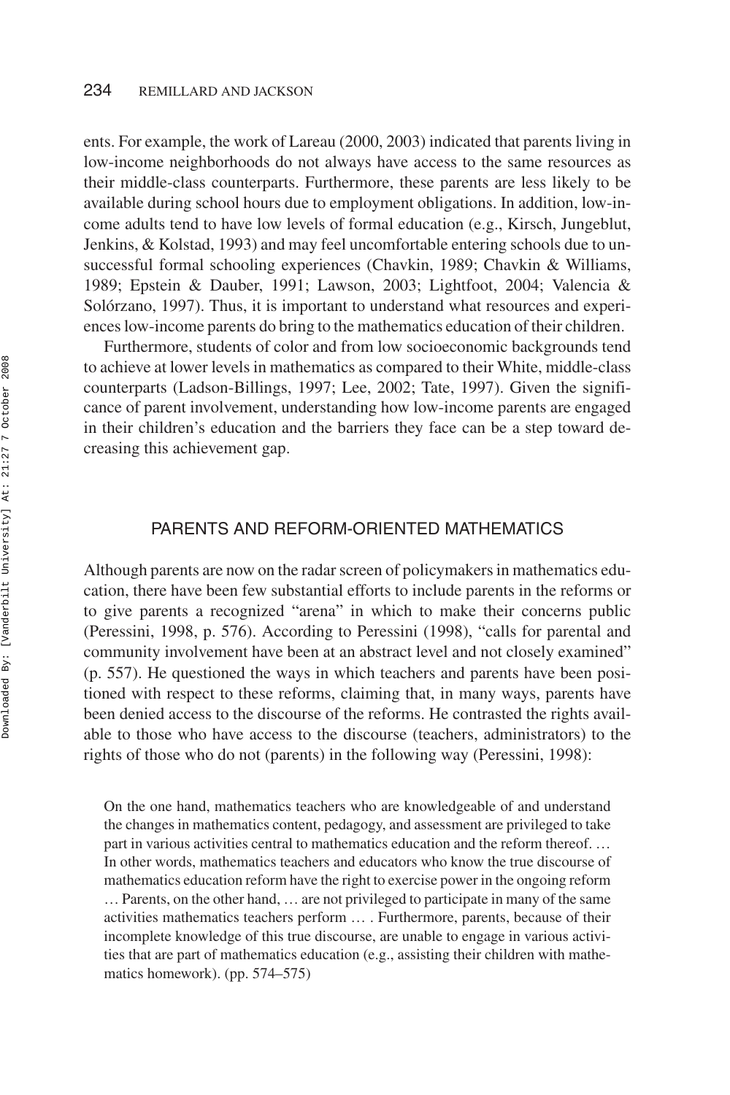ents. For example, the work of Lareau (2000, 2003) indicated that parents living in low-income neighborhoods do not always have access to the same resources as their middle-class counterparts. Furthermore, these parents are less likely to be available during school hours due to employment obligations. In addition, low-income adults tend to have low levels of formal education (e.g., Kirsch, Jungeblut, Jenkins, & Kolstad, 1993) and may feel uncomfortable entering schools due to unsuccessful formal schooling experiences (Chavkin, 1989; Chavkin & Williams, 1989; Epstein & Dauber, 1991; Lawson, 2003; Lightfoot, 2004; Valencia & Solórzano, 1997). Thus, it is important to understand what resources and experiences low-income parents do bring to the mathematics education of their children.

Furthermore, students of color and from low socioeconomic backgrounds tend to achieve at lower levels in mathematics as compared to their White, middle-class counterparts (Ladson-Billings, 1997; Lee, 2002; Tate, 1997). Given the significance of parent involvement, understanding how low-income parents are engaged in their children's education and the barriers they face can be a step toward decreasing this achievement gap.

#### PARENTS AND REFORM-ORIENTED MATHEMATICS

Although parents are now on the radar screen of policymakers in mathematics education, there have been few substantial efforts to include parents in the reforms or to give parents a recognized "arena" in which to make their concerns public (Peressini, 1998, p. 576). According to Peressini (1998), "calls for parental and community involvement have been at an abstract level and not closely examined" (p. 557). He questioned the ways in which teachers and parents have been positioned with respect to these reforms, claiming that, in many ways, parents have been denied access to the discourse of the reforms. He contrasted the rights available to those who have access to the discourse (teachers, administrators) to the rights of those who do not (parents) in the following way (Peressini, 1998):

On the one hand, mathematics teachers who are knowledgeable of and understand the changes in mathematics content, pedagogy, and assessment are privileged to take part in various activities central to mathematics education and the reform thereof. … In other words, mathematics teachers and educators who know the true discourse of mathematics education reform have the right to exercise power in the ongoing reform … Parents, on the other hand, … are not privileged to participate in many of the same activities mathematics teachers perform … . Furthermore, parents, because of their incomplete knowledge of this true discourse, are unable to engage in various activities that are part of mathematics education (e.g., assisting their children with mathematics homework). (pp. 574–575)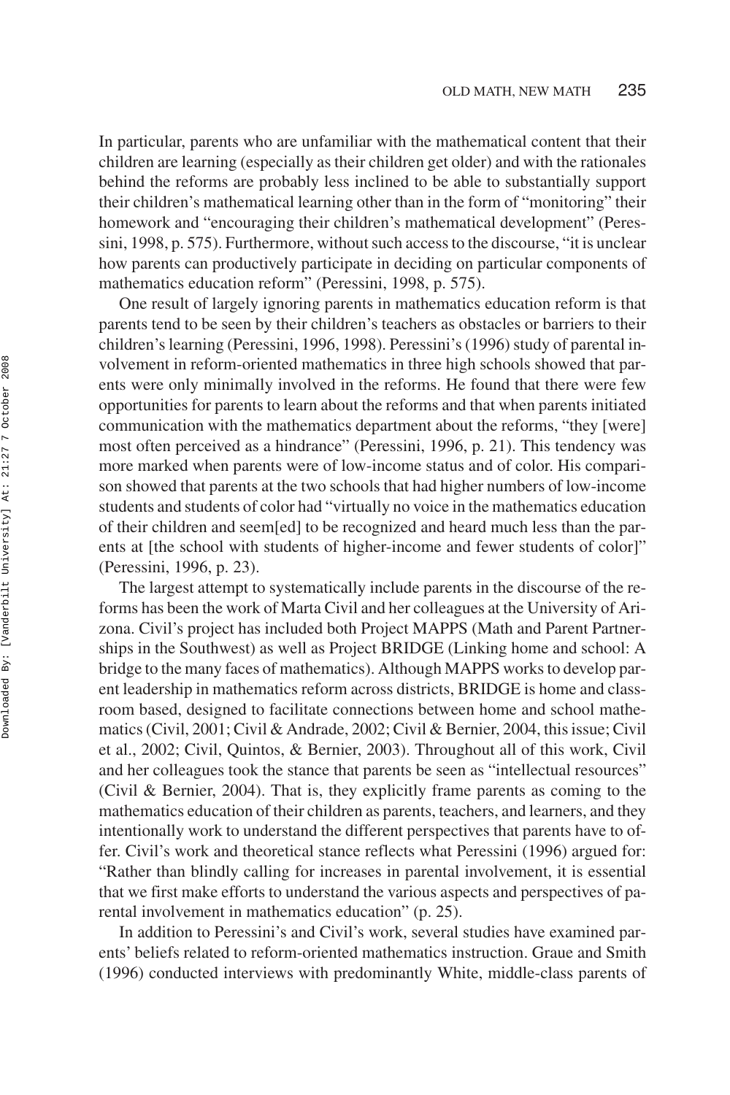In particular, parents who are unfamiliar with the mathematical content that their children are learning (especially as their children get older) and with the rationales behind the reforms are probably less inclined to be able to substantially support their children's mathematical learning other than in the form of "monitoring" their homework and "encouraging their children's mathematical development" (Peressini, 1998, p. 575). Furthermore, without such access to the discourse, "it is unclear how parents can productively participate in deciding on particular components of mathematics education reform" (Peressini, 1998, p. 575).

One result of largely ignoring parents in mathematics education reform is that parents tend to be seen by their children's teachers as obstacles or barriers to their children's learning (Peressini, 1996, 1998). Peressini's (1996) study of parental involvement in reform-oriented mathematics in three high schools showed that parents were only minimally involved in the reforms. He found that there were few opportunities for parents to learn about the reforms and that when parents initiated communication with the mathematics department about the reforms, "they [were] most often perceived as a hindrance" (Peressini, 1996, p. 21). This tendency was more marked when parents were of low-income status and of color. His comparison showed that parents at the two schools that had higher numbers of low-income students and students of color had "virtually no voice in the mathematics education of their children and seem[ed] to be recognized and heard much less than the parents at [the school with students of higher-income and fewer students of color]" (Peressini, 1996, p. 23).

The largest attempt to systematically include parents in the discourse of the reforms has been the work of Marta Civil and her colleagues at the University of Arizona. Civil's project has included both Project MAPPS (Math and Parent Partnerships in the Southwest) as well as Project BRIDGE (Linking home and school: A bridge to the many faces of mathematics). Although MAPPS works to develop parent leadership in mathematics reform across districts, BRIDGE is home and classroom based, designed to facilitate connections between home and school mathematics (Civil, 2001; Civil & Andrade, 2002; Civil & Bernier, 2004, this issue; Civil et al., 2002; Civil, Quintos, & Bernier, 2003). Throughout all of this work, Civil and her colleagues took the stance that parents be seen as "intellectual resources" (Civil & Bernier, 2004). That is, they explicitly frame parents as coming to the mathematics education of their children as parents, teachers, and learners, and they intentionally work to understand the different perspectives that parents have to offer. Civil's work and theoretical stance reflects what Peressini (1996) argued for: "Rather than blindly calling for increases in parental involvement, it is essential that we first make efforts to understand the various aspects and perspectives of parental involvement in mathematics education" (p. 25).

In addition to Peressini's and Civil's work, several studies have examined parents' beliefs related to reform-oriented mathematics instruction. Graue and Smith (1996) conducted interviews with predominantly White, middle-class parents of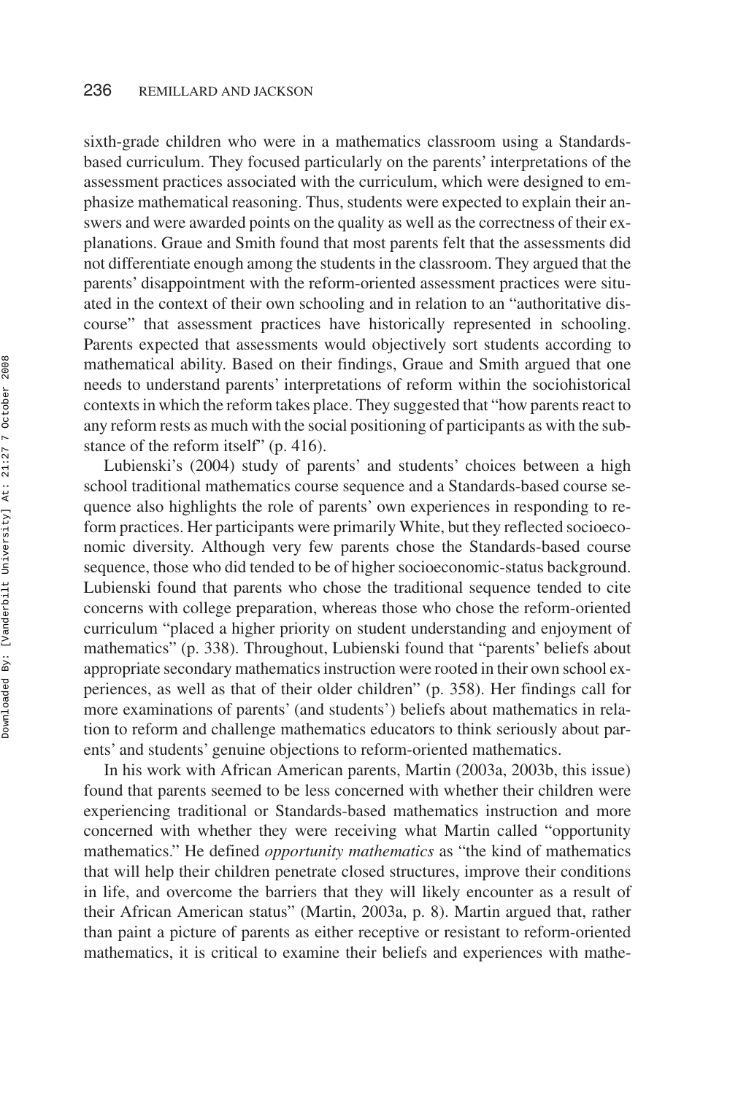sixth-grade children who were in a mathematics classroom using a Standardsbased curriculum. They focused particularly on the parents' interpretations of the assessment practices associated with the curriculum, which were designed to emphasize mathematical reasoning. Thus, students were expected to explain their answers and were awarded points on the quality as well as the correctness of their explanations. Graue and Smith found that most parents felt that the assessments did not differentiate enough among the students in the classroom. They argued that the parents' disappointment with the reform-oriented assessment practices were situated in the context of their own schooling and in relation to an "authoritative discourse" that assessment practices have historically represented in schooling. Parents expected that assessments would objectively sort students according to mathematical ability. Based on their findings, Graue and Smith argued that one needs to understand parents' interpretations of reform within the sociohistorical contexts in which the reform takes place. They suggested that "how parents react to any reform rests as much with the social positioning of participants as with the substance of the reform itself" (p. 416).

Lubienski's (2004) study of parents' and students' choices between a high school traditional mathematics course sequence and a Standards-based course sequence also highlights the role of parents' own experiences in responding to reform practices. Her participants were primarily White, but they reflected socioeconomic diversity. Although very few parents chose the Standards-based course sequence, those who did tended to be of higher socioeconomic-status background. Lubienski found that parents who chose the traditional sequence tended to cite concerns with college preparation, whereas those who chose the reform-oriented curriculum "placed a higher priority on student understanding and enjoyment of mathematics" (p. 338). Throughout, Lubienski found that "parents' beliefs about appropriate secondary mathematics instruction were rooted in their own school experiences, as well as that of their older children" (p. 358). Her findings call for more examinations of parents' (and students') beliefs about mathematics in relation to reform and challenge mathematics educators to think seriously about parents' and students' genuine objections to reform-oriented mathematics.

In his work with African American parents, Martin (2003a, 2003b, this issue) found that parents seemed to be less concerned with whether their children were experiencing traditional or Standards-based mathematics instruction and more concerned with whether they were receiving what Martin called "opportunity mathematics." He defined *opportunity mathematics* as "the kind of mathematics that will help their children penetrate closed structures, improve their conditions in life, and overcome the barriers that they will likely encounter as a result of their African American status" (Martin, 2003a, p. 8). Martin argued that, rather than paint a picture of parents as either receptive or resistant to reform-oriented mathematics, it is critical to examine their beliefs and experiences with mathe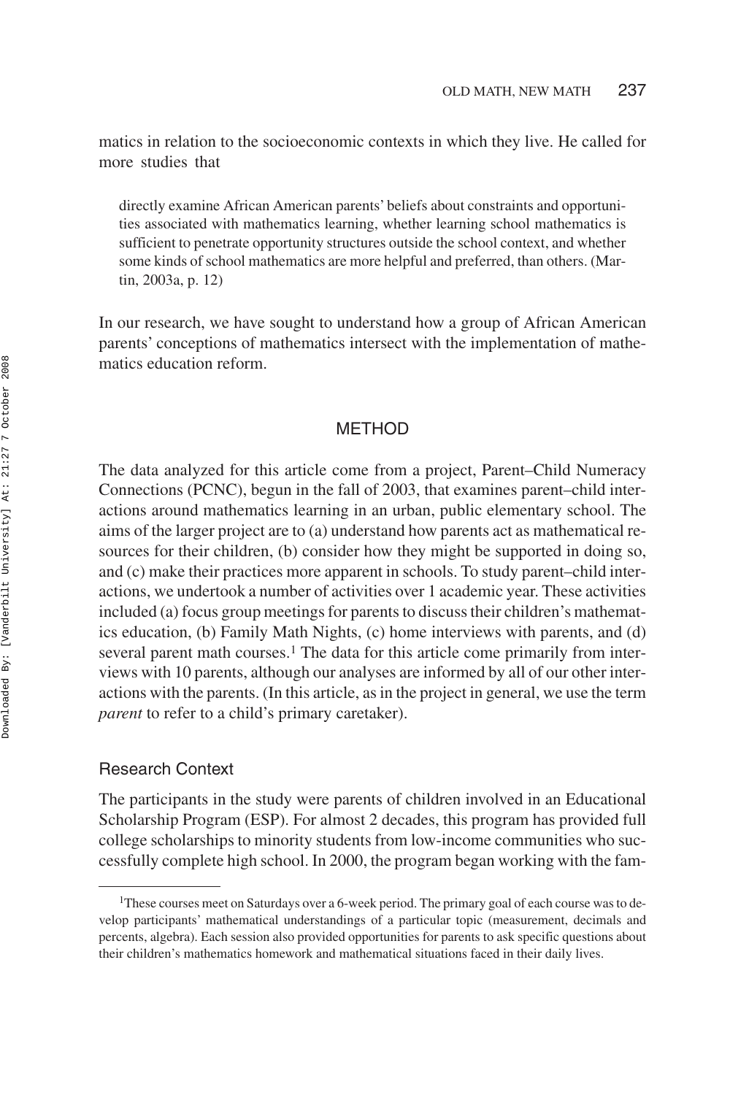matics in relation to the socioeconomic contexts in which they live. He called for more studies that

directly examine African American parents' beliefs about constraints and opportunities associated with mathematics learning, whether learning school mathematics is sufficient to penetrate opportunity structures outside the school context, and whether some kinds of school mathematics are more helpful and preferred, than others. (Martin, 2003a, p. 12)

In our research, we have sought to understand how a group of African American parents' conceptions of mathematics intersect with the implementation of mathematics education reform.

#### METHOD

The data analyzed for this article come from a project, Parent–Child Numeracy Connections (PCNC), begun in the fall of 2003, that examines parent–child interactions around mathematics learning in an urban, public elementary school. The aims of the larger project are to (a) understand how parents act as mathematical resources for their children, (b) consider how they might be supported in doing so, and (c) make their practices more apparent in schools. To study parent–child interactions, we undertook a number of activities over 1 academic year. These activities included (a) focus group meetings for parents to discuss their children's mathematics education, (b) Family Math Nights, (c) home interviews with parents, and (d) several parent math courses.<sup>1</sup> The data for this article come primarily from interviews with 10 parents, although our analyses are informed by all of our other interactions with the parents. (In this article, as in the project in general, we use the term *parent* to refer to a child's primary caretaker).

#### Research Context

The participants in the study were parents of children involved in an Educational Scholarship Program (ESP). For almost 2 decades, this program has provided full college scholarships to minority students from low-income communities who successfully complete high school. In 2000, the program began working with the fam-

<sup>&</sup>lt;sup>1</sup>These courses meet on Saturdays over a 6-week period. The primary goal of each course was to develop participants' mathematical understandings of a particular topic (measurement, decimals and percents, algebra). Each session also provided opportunities for parents to ask specific questions about their children's mathematics homework and mathematical situations faced in their daily lives.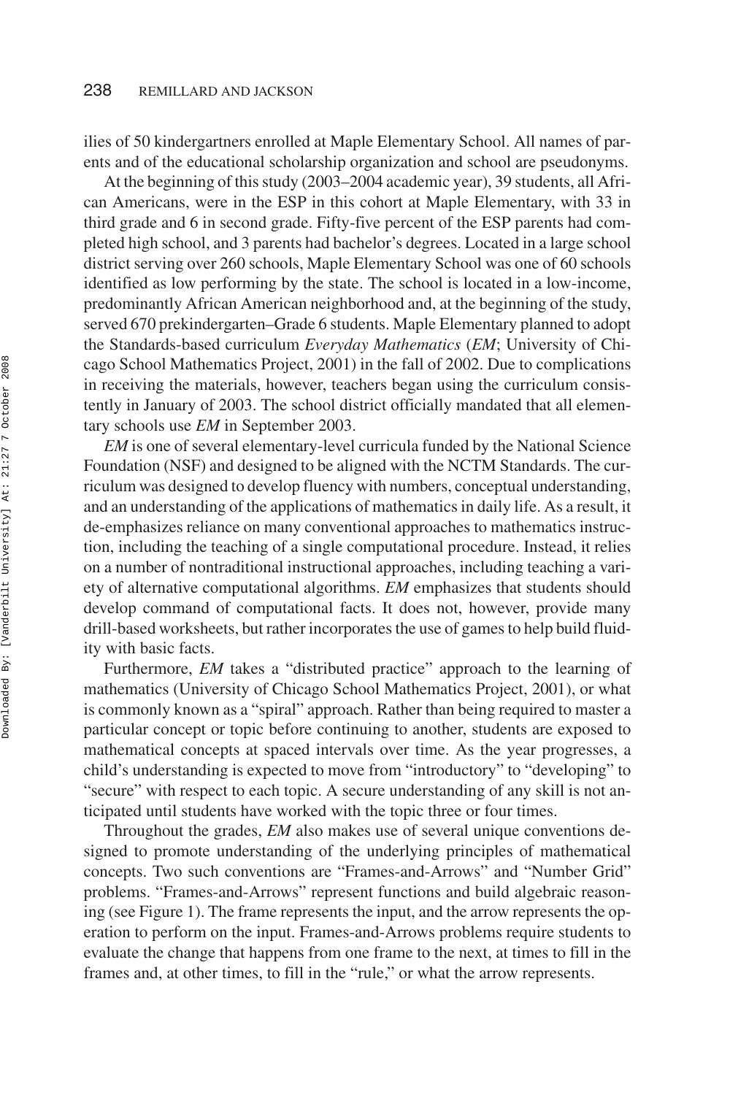ilies of 50 kindergartners enrolled at Maple Elementary School. All names of parents and of the educational scholarship organization and school are pseudonyms.

At the beginning of this study (2003–2004 academic year), 39 students, all African Americans, were in the ESP in this cohort at Maple Elementary, with 33 in third grade and 6 in second grade. Fifty-five percent of the ESP parents had completed high school, and 3 parents had bachelor's degrees. Located in a large school district serving over 260 schools, Maple Elementary School was one of 60 schools identified as low performing by the state. The school is located in a low-income, predominantly African American neighborhood and, at the beginning of the study, served 670 prekindergarten–Grade 6 students. Maple Elementary planned to adopt the Standards-based curriculum *Everyday Mathematics* (*EM*; University of Chicago School Mathematics Project, 2001) in the fall of 2002. Due to complications in receiving the materials, however, teachers began using the curriculum consistently in January of 2003. The school district officially mandated that all elementary schools use *EM* in September 2003.

*EM* is one of several elementary-level curricula funded by the National Science Foundation (NSF) and designed to be aligned with the NCTM Standards. The curriculum was designed to develop fluency with numbers, conceptual understanding, and an understanding of the applications of mathematics in daily life. As a result, it de-emphasizes reliance on many conventional approaches to mathematics instruction, including the teaching of a single computational procedure. Instead, it relies on a number of nontraditional instructional approaches, including teaching a variety of alternative computational algorithms. *EM* emphasizes that students should develop command of computational facts. It does not, however, provide many drill-based worksheets, but rather incorporates the use of games to help build fluidity with basic facts.

Furthermore, *EM* takes a "distributed practice" approach to the learning of mathematics (University of Chicago School Mathematics Project, 2001), or what is commonly known as a "spiral" approach. Rather than being required to master a particular concept or topic before continuing to another, students are exposed to mathematical concepts at spaced intervals over time. As the year progresses, a child's understanding is expected to move from "introductory" to "developing" to "secure" with respect to each topic. A secure understanding of any skill is not anticipated until students have worked with the topic three or four times.

Throughout the grades, *EM* also makes use of several unique conventions designed to promote understanding of the underlying principles of mathematical concepts. Two such conventions are "Frames-and-Arrows" and "Number Grid" problems. "Frames-and-Arrows" represent functions and build algebraic reasoning (see Figure 1). The frame represents the input, and the arrow represents the operation to perform on the input. Frames-and-Arrows problems require students to evaluate the change that happens from one frame to the next, at times to fill in the frames and, at other times, to fill in the "rule," or what the arrow represents.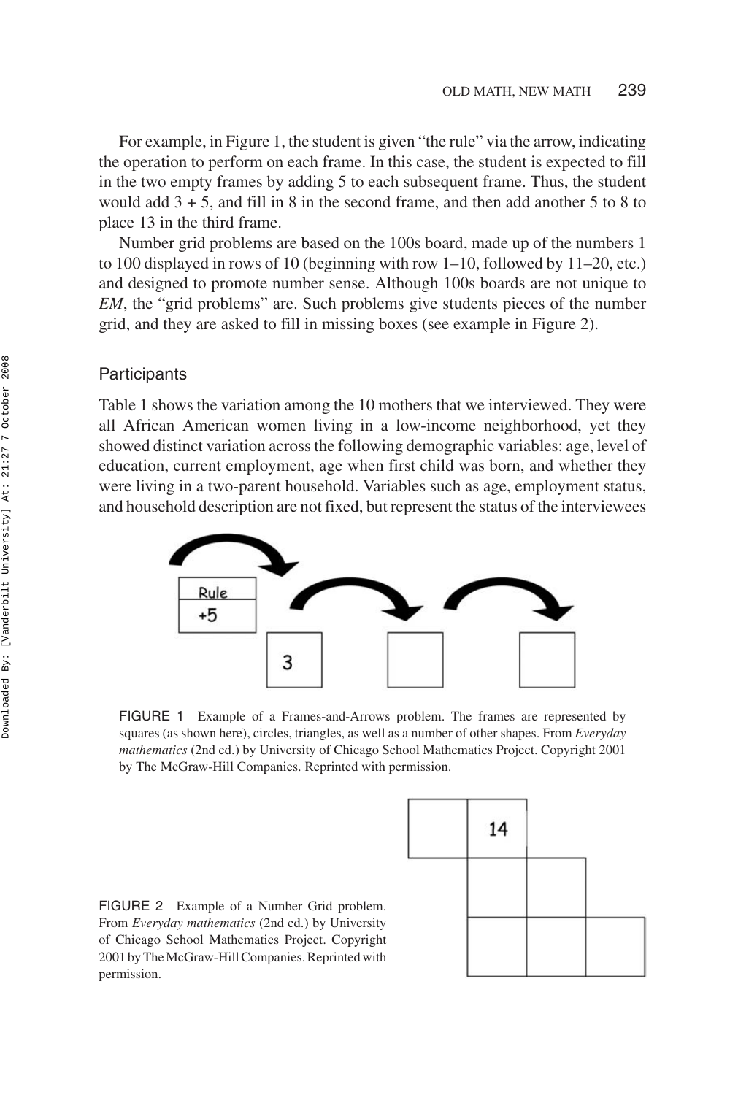For example, in Figure 1, the student is given "the rule" via the arrow, indicating the operation to perform on each frame. In this case, the student is expected to fill in the two empty frames by adding 5 to each subsequent frame. Thus, the student would add  $3 + 5$ , and fill in 8 in the second frame, and then add another 5 to 8 to place 13 in the third frame.

Number grid problems are based on the 100s board, made up of the numbers 1 to 100 displayed in rows of 10 (beginning with row 1–10, followed by 11–20, etc.) and designed to promote number sense. Although 100s boards are not unique to *EM*, the "grid problems" are. Such problems give students pieces of the number grid, and they are asked to fill in missing boxes (see example in Figure 2).

#### **Participants**

Table 1 shows the variation among the 10 mothers that we interviewed. They were all African American women living in a low-income neighborhood, yet they showed distinct variation across the following demographic variables: age, level of education, current employment, age when first child was born, and whether they were living in a two-parent household. Variables such as age, employment status, and household description are not fixed, but represent the status of the interviewees



FIGURE 1 Example of a Frames-and-Arrows problem. The frames are represented by squares (as shown here), circles, triangles, as well as a number of other shapes. From *Everyday mathematics* (2nd ed.) by University of Chicago School Mathematics Project. Copyright 2001 by The McGraw-Hill Companies. Reprinted with permission.



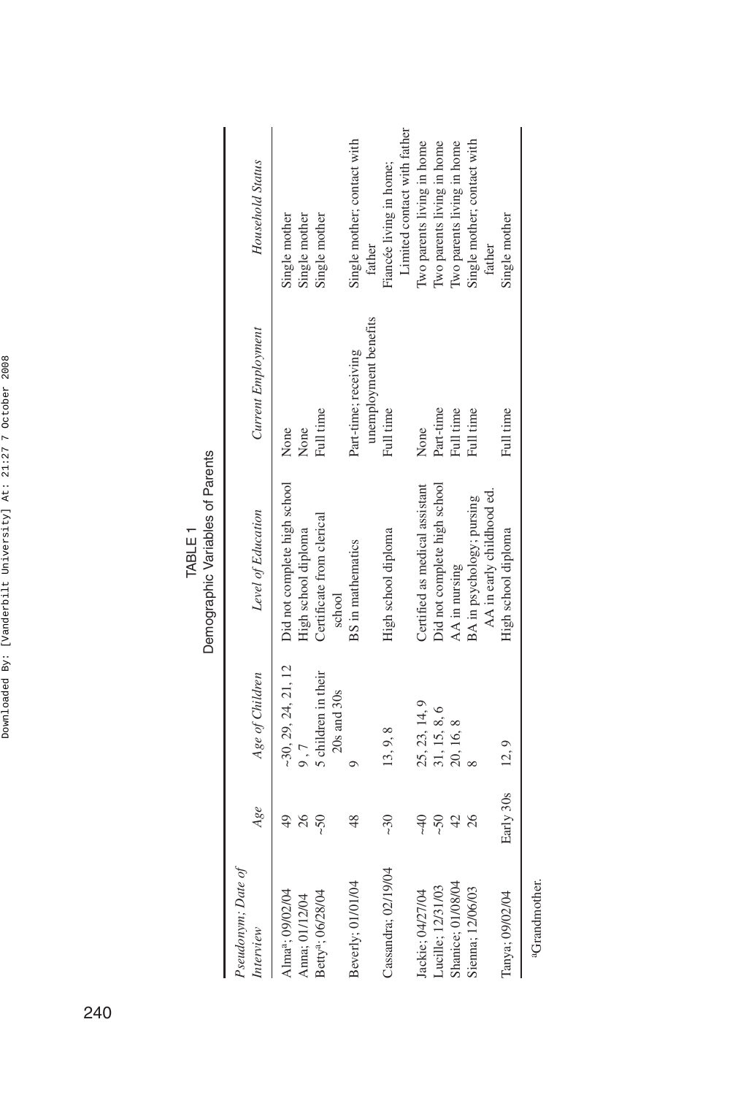| ¢<br>١<br>ï<br>¢<br>þ<br>ċ<br>ı                                         |
|-------------------------------------------------------------------------|
| ı<br>I<br>١<br>í<br>I<br>١<br>Í<br>Ï                                    |
| Ì                                                                       |
| I<br>ï<br>ı<br>ı<br>Ó<br>ı                                              |
| ١<br>ı<br>Î<br>I<br>i                                                   |
| l<br>I<br>l<br>ï<br>l<br>I<br>ı<br>ļ<br>l<br>١<br>١<br>Ï<br>١<br>I<br>í |
| i<br>l<br>I<br>ı                                                        |
| î<br>b<br>Ï<br>I<br>ï<br>ï                                              |

|                                                 |                 |                             | Demographic Variables of Parents                       |                       |                                       |
|-------------------------------------------------|-----------------|-----------------------------|--------------------------------------------------------|-----------------------|---------------------------------------|
| Pseudonym; Date of<br>Interview                 | Age             | Age of Children             | Level of Education                                     | Current Employment    | Household Status                      |
| Alma <sup>a</sup> ; 09/02/04                    |                 | $-30, 29, 24, 21, 12$       | Did not complete high school                           | None                  | Single mother                         |
| Betty <sup>a</sup> ; 06/28/04<br>Anna; 01/12/04 | ິ,              | 5 children in their<br>9, 7 | Certificate from clerical<br>High school diploma       | Full time<br>None     | Single mother<br>Single mother        |
|                                                 |                 | $20s$ and $30s$             | school                                                 |                       |                                       |
| Beverly; 01/01/04                               |                 |                             | <b>BS</b> in mathematics                               | Part-time; receiving  | Single mother; contact with           |
|                                                 |                 |                             |                                                        | unemployment benefits | father                                |
| Cassandra; 02/19/04                             | $-30$           | 13, 9, 8                    | High school diploma                                    | Full time             | Fiancée living in home;               |
|                                                 |                 |                             |                                                        |                       | Limited contact with father           |
| Jackie; 04/27/04                                | ş               | 25, 23, 14, 9               | Certified as medical assistant                         | None                  | Two parents living in home            |
| Lucille; 12/31/03                               | າົາ             | 31, 15, 8, 6                | Did not complete high school                           | Part-time             | Two parents living in home            |
| Shanice; 01/08/04                               |                 | 20, 16, 8                   | AA in nursing                                          | Full time             | Two parents living in home            |
| Sienna; 12/06/03                                |                 |                             | AA in early childhood ed.<br>BA in psychology; pursing | Full time             | Single mother; contact with<br>father |
| Tanya; 09/02/04                                 | Early 30s 12, 9 |                             | High school diploma                                    | Full time             | Single mother                         |
| <sup>a</sup> Grandmother.                       |                 |                             |                                                        |                       |                                       |

TABLE 1<br>Demographic Variables of Parents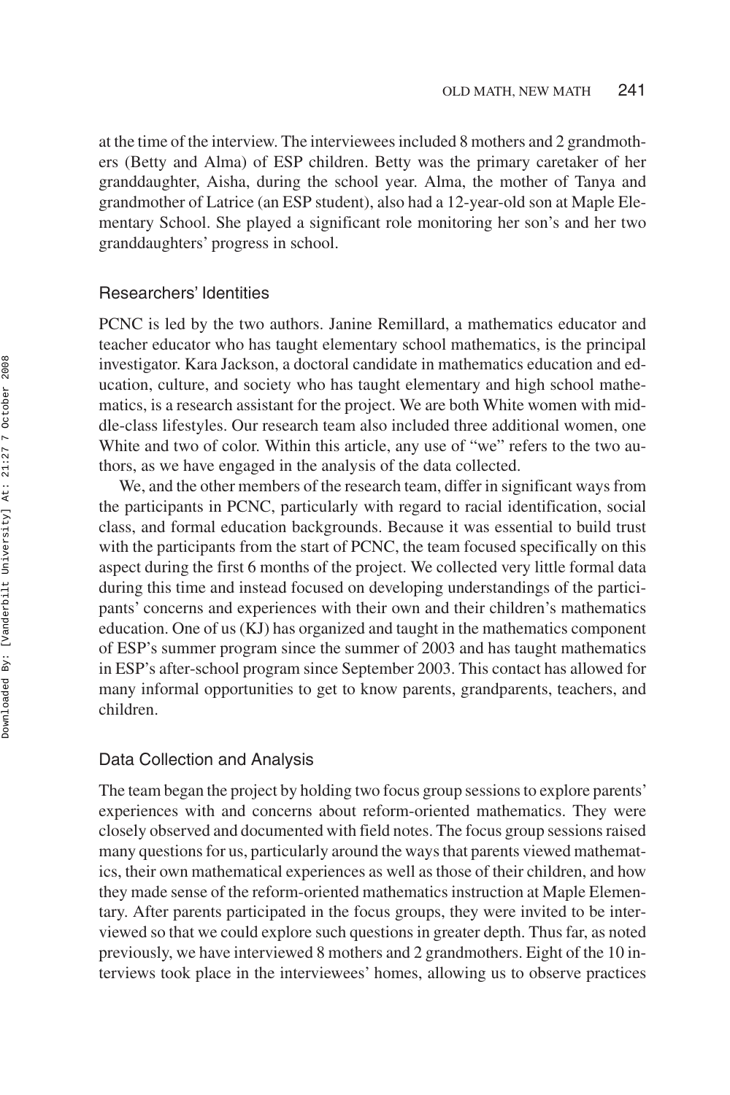at the time of the interview. The interviewees included 8 mothers and 2 grandmothers (Betty and Alma) of ESP children. Betty was the primary caretaker of her granddaughter, Aisha, during the school year. Alma, the mother of Tanya and grandmother of Latrice (an ESP student), also had a 12-year-old son at Maple Elementary School. She played a significant role monitoring her son's and her two granddaughters' progress in school.

#### Researchers' Identities

PCNC is led by the two authors. Janine Remillard, a mathematics educator and teacher educator who has taught elementary school mathematics, is the principal investigator. Kara Jackson, a doctoral candidate in mathematics education and education, culture, and society who has taught elementary and high school mathematics, is a research assistant for the project. We are both White women with middle-class lifestyles. Our research team also included three additional women, one White and two of color. Within this article, any use of "we" refers to the two authors, as we have engaged in the analysis of the data collected.

We, and the other members of the research team, differ in significant ways from the participants in PCNC, particularly with regard to racial identification, social class, and formal education backgrounds. Because it was essential to build trust with the participants from the start of PCNC, the team focused specifically on this aspect during the first 6 months of the project. We collected very little formal data during this time and instead focused on developing understandings of the participants' concerns and experiences with their own and their children's mathematics education. One of us (KJ) has organized and taught in the mathematics component of ESP's summer program since the summer of 2003 and has taught mathematics in ESP's after-school program since September 2003. This contact has allowed for many informal opportunities to get to know parents, grandparents, teachers, and children.

#### Data Collection and Analysis

The team began the project by holding two focus group sessions to explore parents' experiences with and concerns about reform-oriented mathematics. They were closely observed and documented with field notes. The focus group sessions raised many questions for us, particularly around the ways that parents viewed mathematics, their own mathematical experiences as well as those of their children, and how they made sense of the reform-oriented mathematics instruction at Maple Elementary. After parents participated in the focus groups, they were invited to be interviewed so that we could explore such questions in greater depth. Thus far, as noted previously, we have interviewed 8 mothers and 2 grandmothers. Eight of the 10 interviews took place in the interviewees' homes, allowing us to observe practices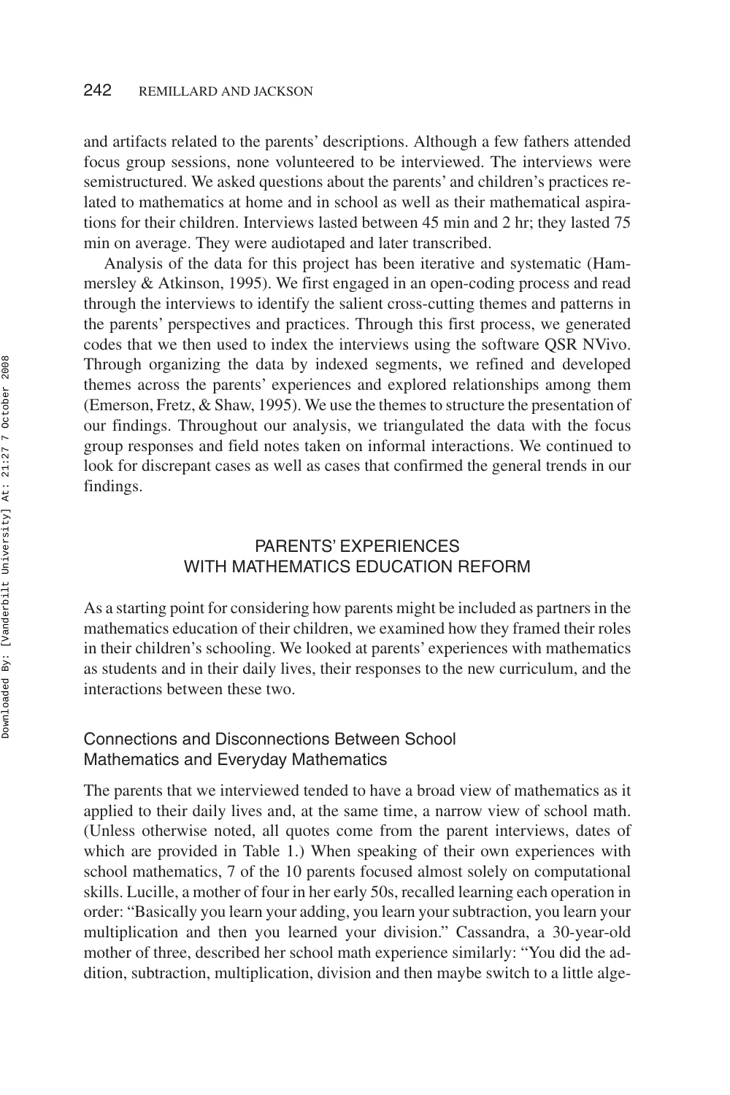#### 242 REMILLARD AND JACKSON

and artifacts related to the parents' descriptions. Although a few fathers attended focus group sessions, none volunteered to be interviewed. The interviews were semistructured. We asked questions about the parents' and children's practices related to mathematics at home and in school as well as their mathematical aspirations for their children. Interviews lasted between 45 min and 2 hr; they lasted 75 min on average. They were audiotaped and later transcribed.

Analysis of the data for this project has been iterative and systematic (Hammersley & Atkinson, 1995). We first engaged in an open-coding process and read through the interviews to identify the salient cross-cutting themes and patterns in the parents' perspectives and practices. Through this first process, we generated codes that we then used to index the interviews using the software QSR NVivo. Through organizing the data by indexed segments, we refined and developed themes across the parents' experiences and explored relationships among them (Emerson, Fretz, & Shaw, 1995). We use the themes to structure the presentation of our findings. Throughout our analysis, we triangulated the data with the focus group responses and field notes taken on informal interactions. We continued to look for discrepant cases as well as cases that confirmed the general trends in our findings.

# PARENTS' EXPERIENCES WITH MATHEMATICS EDUCATION REFORM

As a starting point for considering how parents might be included as partners in the mathematics education of their children, we examined how they framed their roles in their children's schooling. We looked at parents' experiences with mathematics as students and in their daily lives, their responses to the new curriculum, and the interactions between these two.

## Connections and Disconnections Between School Mathematics and Everyday Mathematics

The parents that we interviewed tended to have a broad view of mathematics as it applied to their daily lives and, at the same time, a narrow view of school math. (Unless otherwise noted, all quotes come from the parent interviews, dates of which are provided in Table 1.) When speaking of their own experiences with school mathematics, 7 of the 10 parents focused almost solely on computational skills. Lucille, a mother of four in her early 50s, recalled learning each operation in order: "Basically you learn your adding, you learn your subtraction, you learn your multiplication and then you learned your division." Cassandra, a 30-year-old mother of three, described her school math experience similarly: "You did the addition, subtraction, multiplication, division and then maybe switch to a little alge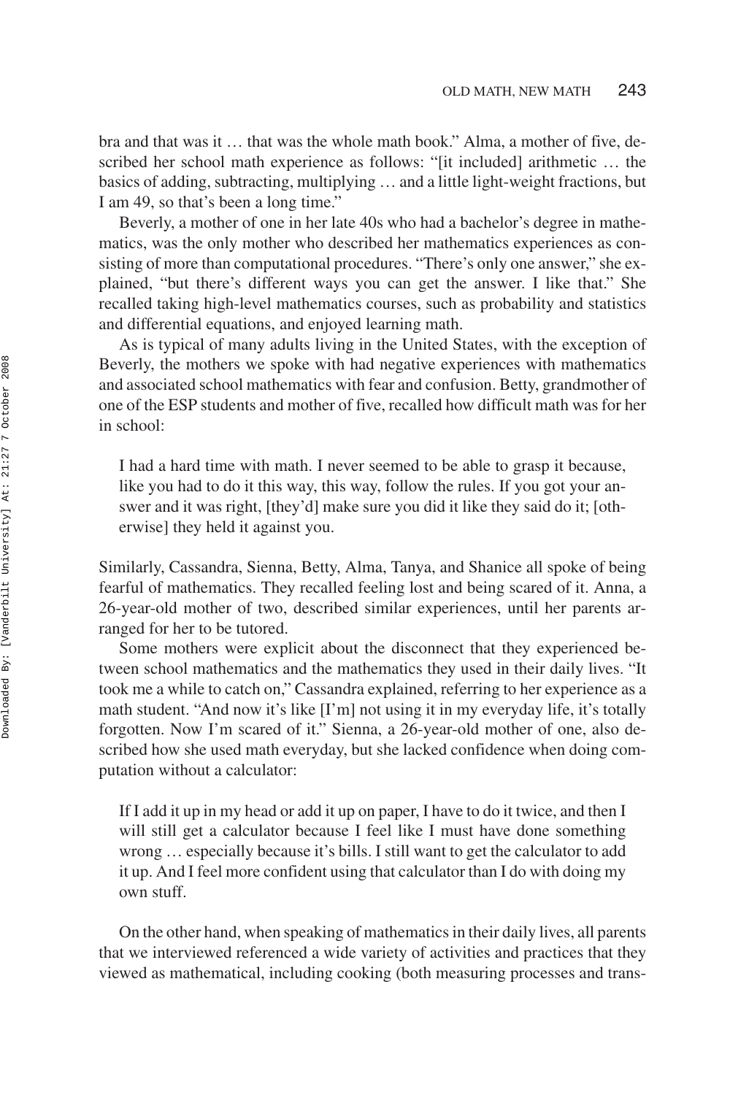bra and that was it … that was the whole math book." Alma, a mother of five, described her school math experience as follows: "[it included] arithmetic … the basics of adding, subtracting, multiplying … and a little light-weight fractions, but I am 49, so that's been a long time."

Beverly, a mother of one in her late 40s who had a bachelor's degree in mathematics, was the only mother who described her mathematics experiences as consisting of more than computational procedures. "There's only one answer," she explained, "but there's different ways you can get the answer. I like that." She recalled taking high-level mathematics courses, such as probability and statistics and differential equations, and enjoyed learning math.

As is typical of many adults living in the United States, with the exception of Beverly, the mothers we spoke with had negative experiences with mathematics and associated school mathematics with fear and confusion. Betty, grandmother of one of the ESP students and mother of five, recalled how difficult math was for her in school:

I had a hard time with math. I never seemed to be able to grasp it because, like you had to do it this way, this way, follow the rules. If you got your answer and it was right, [they'd] make sure you did it like they said do it; [otherwise] they held it against you.

Similarly, Cassandra, Sienna, Betty, Alma, Tanya, and Shanice all spoke of being fearful of mathematics. They recalled feeling lost and being scared of it. Anna, a 26-year-old mother of two, described similar experiences, until her parents arranged for her to be tutored.

Some mothers were explicit about the disconnect that they experienced between school mathematics and the mathematics they used in their daily lives. "It took me a while to catch on," Cassandra explained, referring to her experience as a math student. "And now it's like [I'm] not using it in my everyday life, it's totally forgotten. Now I'm scared of it." Sienna, a 26-year-old mother of one, also described how she used math everyday, but she lacked confidence when doing computation without a calculator:

If I add it up in my head or add it up on paper, I have to do it twice, and then I will still get a calculator because I feel like I must have done something wrong … especially because it's bills. I still want to get the calculator to add it up. And I feel more confident using that calculator than I do with doing my own stuff.

On the other hand, when speaking of mathematics in their daily lives, all parents that we interviewed referenced a wide variety of activities and practices that they viewed as mathematical, including cooking (both measuring processes and trans-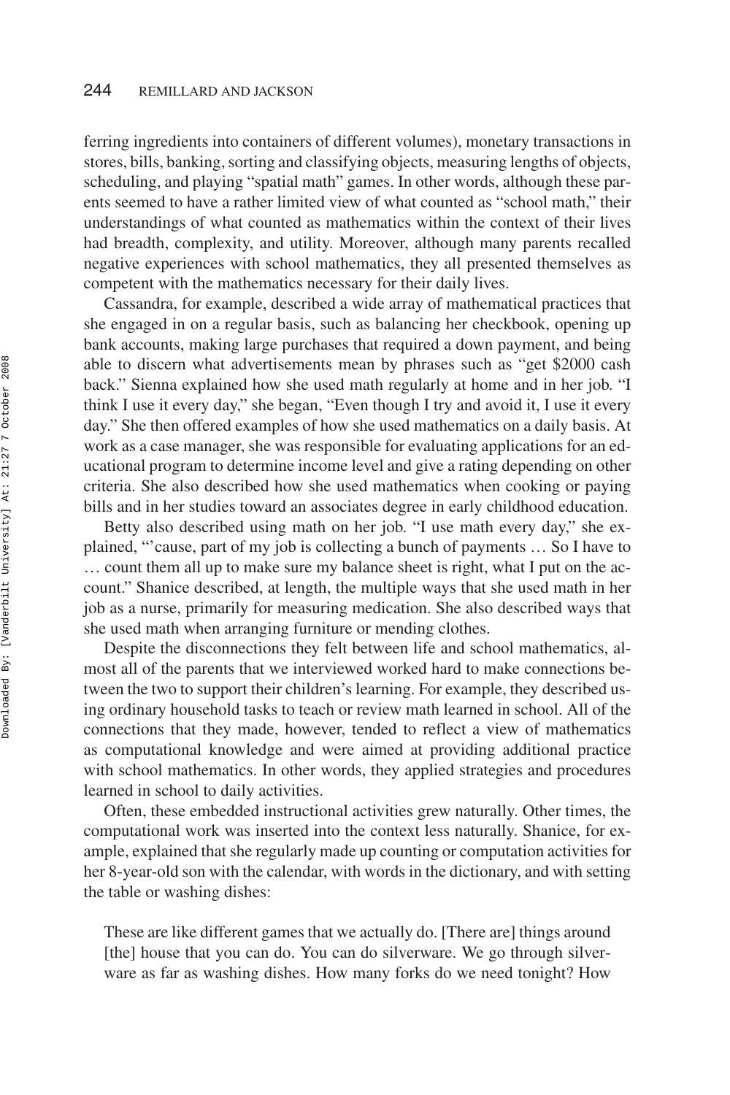ferring ingredients into containers of different volumes), monetary transactions in stores, bills, banking, sorting and classifying objects, measuring lengths of objects, scheduling, and playing "spatial math" games. In other words, although these parents seemed to have a rather limited view of what counted as "school math," their understandings of what counted as mathematics within the context of their lives had breadth, complexity, and utility. Moreover, although many parents recalled negative experiences with school mathematics, they all presented themselves as competent with the mathematics necessary for their daily lives.

Cassandra, for example, described a wide array of mathematical practices that she engaged in on a regular basis, such as balancing her checkbook, opening up bank accounts, making large purchases that required a down payment, and being able to discern what advertisements mean by phrases such as "get \$2000 cash back." Sienna explained how she used math regularly at home and in her job. "I think I use it every day," she began, "Even though I try and avoid it, I use it every day." She then offered examples of how she used mathematics on a daily basis. At work as a case manager, she was responsible for evaluating applications for an educational program to determine income level and give a rating depending on other criteria. She also described how she used mathematics when cooking or paying bills and in her studies toward an associates degree in early childhood education.

Betty also described using math on her job. "I use math every day," she explained, "'cause, part of my job is collecting a bunch of payments … So I have to … count them all up to make sure my balance sheet is right, what I put on the account." Shanice described, at length, the multiple ways that she used math in her job as a nurse, primarily for measuring medication. She also described ways that she used math when arranging furniture or mending clothes.

Despite the disconnections they felt between life and school mathematics, almost all of the parents that we interviewed worked hard to make connections between the two to support their children's learning. For example, they described using ordinary household tasks to teach or review math learned in school. All of the connections that they made, however, tended to reflect a view of mathematics as computational knowledge and were aimed at providing additional practice with school mathematics. In other words, they applied strategies and procedures learned in school to daily activities.

Often, these embedded instructional activities grew naturally. Other times, the computational work was inserted into the context less naturally. Shanice, for example, explained that she regularly made up counting or computation activities for her 8-year-old son with the calendar, with words in the dictionary, and with setting the table or washing dishes:

These are like different games that we actually do. [There are] things around [the] house that you can do. You can do silverware. We go through silverware as far as washing dishes. How many forks do we need tonight? How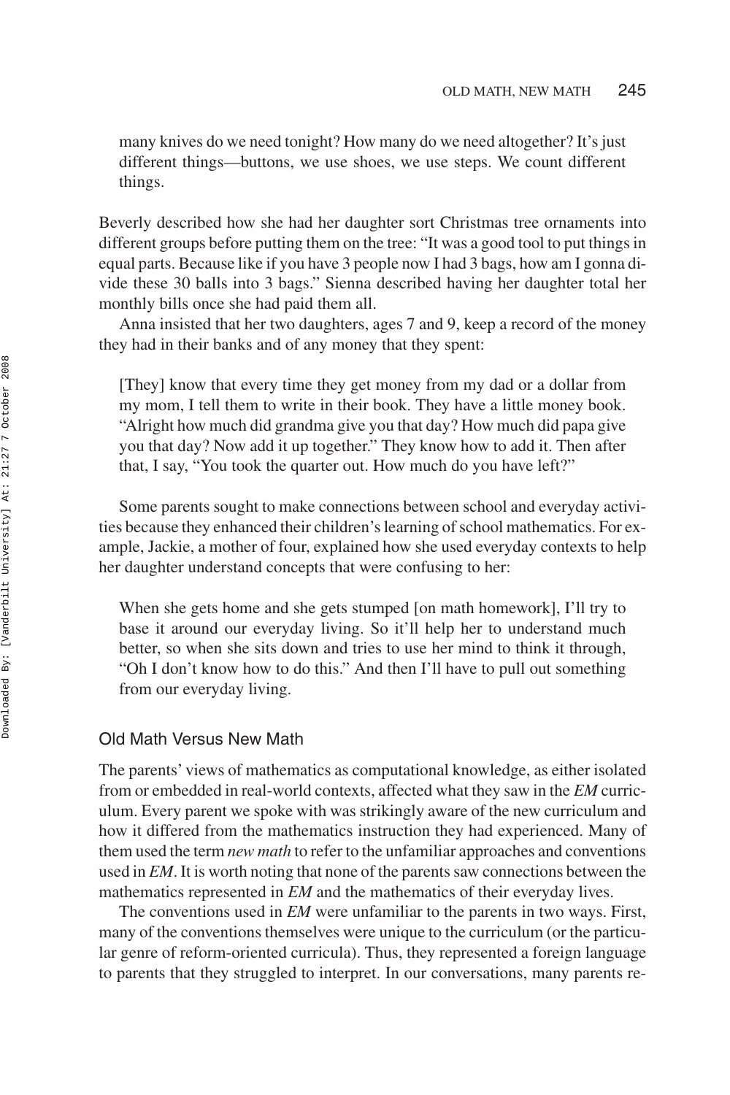many knives do we need tonight? How many do we need altogether? It's just different things—buttons, we use shoes, we use steps. We count different things.

Beverly described how she had her daughter sort Christmas tree ornaments into different groups before putting them on the tree: "It was a good tool to put things in equal parts. Because like if you have 3 people now I had 3 bags, how am I gonna divide these 30 balls into 3 bags." Sienna described having her daughter total her monthly bills once she had paid them all.

Anna insisted that her two daughters, ages 7 and 9, keep a record of the money they had in their banks and of any money that they spent:

[They] know that every time they get money from my dad or a dollar from my mom, I tell them to write in their book. They have a little money book. "Alright how much did grandma give you that day? How much did papa give you that day? Now add it up together." They know how to add it. Then after that, I say, "You took the quarter out. How much do you have left?"

Some parents sought to make connections between school and everyday activities because they enhanced their children's learning of school mathematics. For example, Jackie, a mother of four, explained how she used everyday contexts to help her daughter understand concepts that were confusing to her:

When she gets home and she gets stumped [on math homework], I'll try to base it around our everyday living. So it'll help her to understand much better, so when she sits down and tries to use her mind to think it through, "Oh I don't know how to do this." And then I'll have to pull out something from our everyday living.

#### Old Math Versus New Math

The parents' views of mathematics as computational knowledge, as either isolated from or embedded in real-world contexts, affected what they saw in the *EM* curriculum. Every parent we spoke with was strikingly aware of the new curriculum and how it differed from the mathematics instruction they had experienced. Many of them used the term *new math* to refer to the unfamiliar approaches and conventions used in *EM*. It is worth noting that none of the parents saw connections between the mathematics represented in *EM* and the mathematics of their everyday lives.

The conventions used in *EM* were unfamiliar to the parents in two ways. First, many of the conventions themselves were unique to the curriculum (or the particular genre of reform-oriented curricula). Thus, they represented a foreign language to parents that they struggled to interpret. In our conversations, many parents re-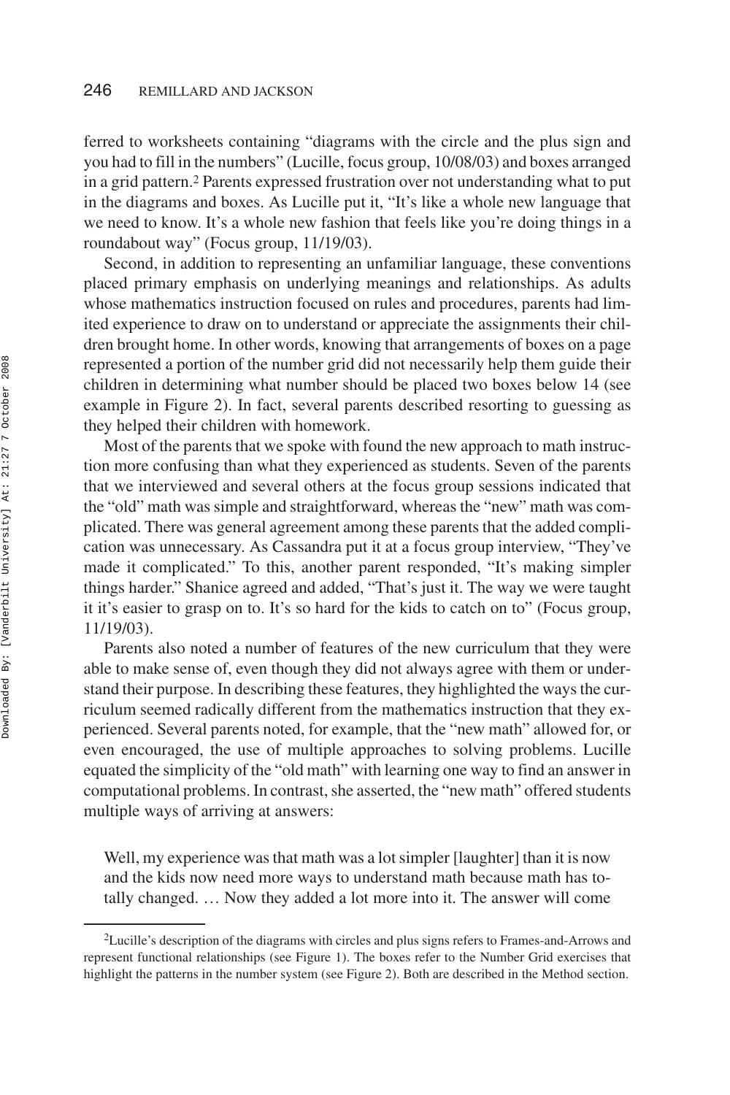ferred to worksheets containing "diagrams with the circle and the plus sign and you had to fill in the numbers" (Lucille, focus group, 10/08/03) and boxes arranged in a grid pattern.2 Parents expressed frustration over not understanding what to put in the diagrams and boxes. As Lucille put it, "It's like a whole new language that we need to know. It's a whole new fashion that feels like you're doing things in a roundabout way" (Focus group, 11/19/03).

Second, in addition to representing an unfamiliar language, these conventions placed primary emphasis on underlying meanings and relationships. As adults whose mathematics instruction focused on rules and procedures, parents had limited experience to draw on to understand or appreciate the assignments their children brought home. In other words, knowing that arrangements of boxes on a page represented a portion of the number grid did not necessarily help them guide their children in determining what number should be placed two boxes below 14 (see example in Figure 2). In fact, several parents described resorting to guessing as they helped their children with homework.

Most of the parents that we spoke with found the new approach to math instruction more confusing than what they experienced as students. Seven of the parents that we interviewed and several others at the focus group sessions indicated that the "old" math was simple and straightforward, whereas the "new" math was complicated. There was general agreement among these parents that the added complication was unnecessary. As Cassandra put it at a focus group interview, "They've made it complicated." To this, another parent responded, "It's making simpler things harder." Shanice agreed and added, "That's just it. The way we were taught it it's easier to grasp on to. It's so hard for the kids to catch on to" (Focus group, 11/19/03).

Parents also noted a number of features of the new curriculum that they were able to make sense of, even though they did not always agree with them or understand their purpose. In describing these features, they highlighted the ways the curriculum seemed radically different from the mathematics instruction that they experienced. Several parents noted, for example, that the "new math" allowed for, or even encouraged, the use of multiple approaches to solving problems. Lucille equated the simplicity of the "old math" with learning one way to find an answer in computational problems. In contrast, she asserted, the "new math" offered students multiple ways of arriving at answers:

Well, my experience was that math was a lot simpler [laughter] than it is now and the kids now need more ways to understand math because math has totally changed. … Now they added a lot more into it. The answer will come

<sup>2</sup>Lucille's description of the diagrams with circles and plus signs refers to Frames-and-Arrows and represent functional relationships (see Figure 1). The boxes refer to the Number Grid exercises that highlight the patterns in the number system (see Figure 2). Both are described in the Method section.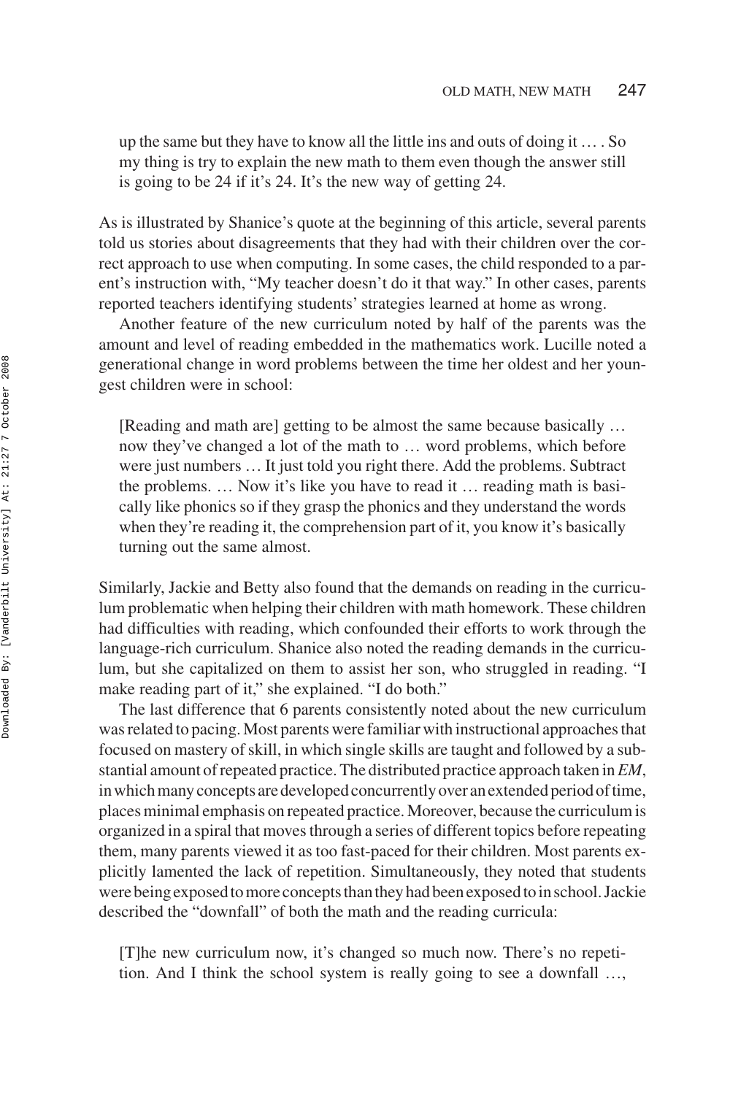up the same but they have to know all the little ins and outs of doing it … . So my thing is try to explain the new math to them even though the answer still is going to be 24 if it's 24. It's the new way of getting 24.

As is illustrated by Shanice's quote at the beginning of this article, several parents told us stories about disagreements that they had with their children over the correct approach to use when computing. In some cases, the child responded to a parent's instruction with, "My teacher doesn't do it that way." In other cases, parents reported teachers identifying students' strategies learned at home as wrong.

Another feature of the new curriculum noted by half of the parents was the amount and level of reading embedded in the mathematics work. Lucille noted a generational change in word problems between the time her oldest and her youngest children were in school:

[Reading and math are] getting to be almost the same because basically … now they've changed a lot of the math to … word problems, which before were just numbers … It just told you right there. Add the problems. Subtract the problems. … Now it's like you have to read it … reading math is basically like phonics so if they grasp the phonics and they understand the words when they're reading it, the comprehension part of it, you know it's basically turning out the same almost.

Similarly, Jackie and Betty also found that the demands on reading in the curriculum problematic when helping their children with math homework. These children had difficulties with reading, which confounded their efforts to work through the language-rich curriculum. Shanice also noted the reading demands in the curriculum, but she capitalized on them to assist her son, who struggled in reading. "I make reading part of it," she explained. "I do both."

The last difference that 6 parents consistently noted about the new curriculum was related to pacing. Most parents were familiar with instructional approaches that focused on mastery of skill, in which single skills are taught and followed by a substantial amount of repeated practice. The distributed practice approach taken in*EM*, in which many concepts are developed concurrently over an extended period of time, places minimal emphasis on repeated practice. Moreover, because the curriculum is organized in a spiral that moves through a series of different topics before repeating them, many parents viewed it as too fast-paced for their children. Most parents explicitly lamented the lack of repetition. Simultaneously, they noted that students werebeingexposedtomoreconceptsthantheyhadbeenexposedtoinschool.Jackie described the "downfall" of both the math and the reading curricula:

[T]he new curriculum now, it's changed so much now. There's no repetition. And I think the school system is really going to see a downfall …,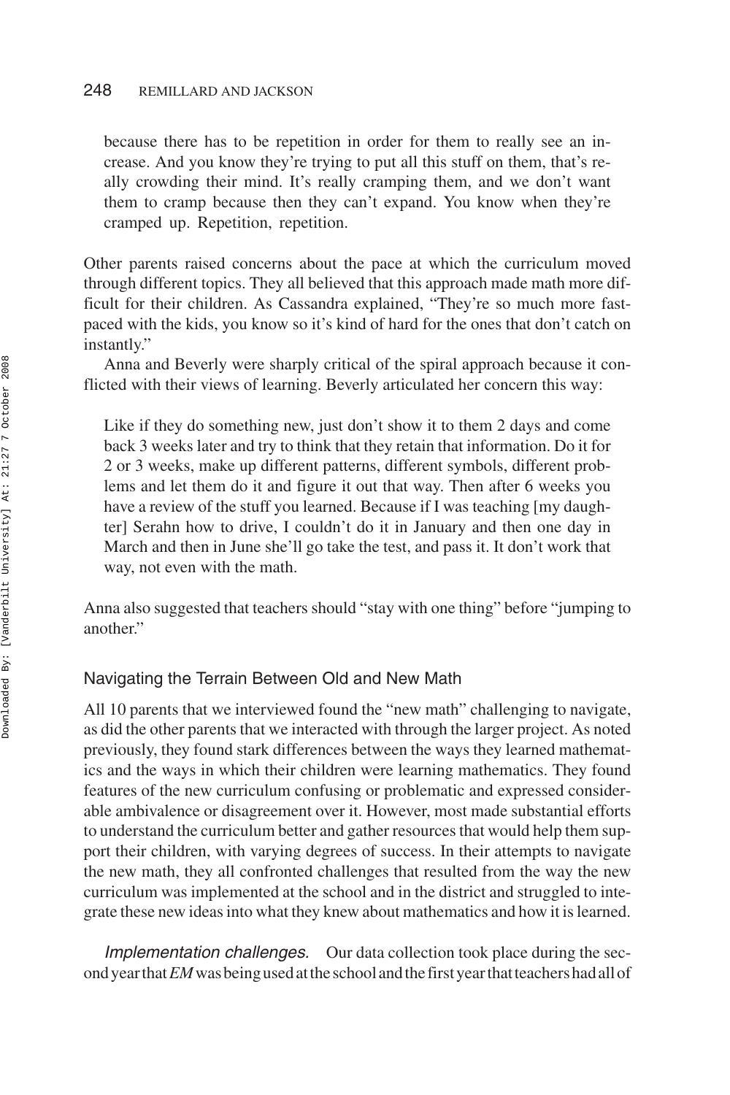because there has to be repetition in order for them to really see an increase. And you know they're trying to put all this stuff on them, that's really crowding their mind. It's really cramping them, and we don't want them to cramp because then they can't expand. You know when they're cramped up. Repetition, repetition.

Other parents raised concerns about the pace at which the curriculum moved through different topics. They all believed that this approach made math more difficult for their children. As Cassandra explained, "They're so much more fastpaced with the kids, you know so it's kind of hard for the ones that don't catch on instantly."

Anna and Beverly were sharply critical of the spiral approach because it conflicted with their views of learning. Beverly articulated her concern this way:

Like if they do something new, just don't show it to them 2 days and come back 3 weeks later and try to think that they retain that information. Do it for 2 or 3 weeks, make up different patterns, different symbols, different problems and let them do it and figure it out that way. Then after 6 weeks you have a review of the stuff you learned. Because if I was teaching [my daughter] Serahn how to drive, I couldn't do it in January and then one day in March and then in June she'll go take the test, and pass it. It don't work that way, not even with the math.

Anna also suggested that teachers should "stay with one thing" before "jumping to another."

#### Navigating the Terrain Between Old and New Math

All 10 parents that we interviewed found the "new math" challenging to navigate, as did the other parents that we interacted with through the larger project. As noted previously, they found stark differences between the ways they learned mathematics and the ways in which their children were learning mathematics. They found features of the new curriculum confusing or problematic and expressed considerable ambivalence or disagreement over it. However, most made substantial efforts to understand the curriculum better and gather resources that would help them support their children, with varying degrees of success. In their attempts to navigate the new math, they all confronted challenges that resulted from the way the new curriculum was implemented at the school and in the district and struggled to integrate these new ideas into what they knew about mathematics and how it is learned.

Implementation challenges. Our data collection took place during the second year that *EM* was being used at the school and the first year that teachers had all of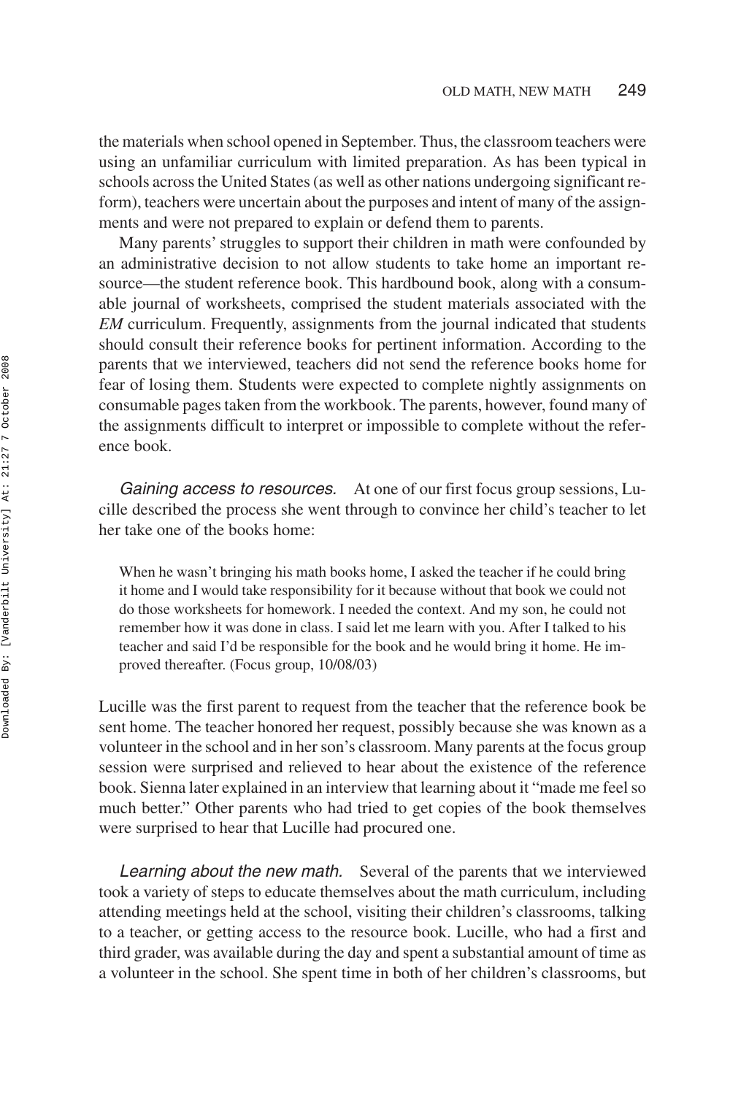the materials when school opened in September. Thus, the classroom teachers were using an unfamiliar curriculum with limited preparation. As has been typical in schools across the United States (as well as other nations undergoing significant reform), teachers were uncertain about the purposes and intent of many of the assignments and were not prepared to explain or defend them to parents.

Many parents' struggles to support their children in math were confounded by an administrative decision to not allow students to take home an important resource—the student reference book. This hardbound book, along with a consumable journal of worksheets, comprised the student materials associated with the *EM* curriculum. Frequently, assignments from the journal indicated that students should consult their reference books for pertinent information. According to the parents that we interviewed, teachers did not send the reference books home for fear of losing them. Students were expected to complete nightly assignments on consumable pages taken from the workbook. The parents, however, found many of the assignments difficult to interpret or impossible to complete without the reference book.

Gaining access to resources. At one of our first focus group sessions, Lucille described the process she went through to convince her child's teacher to let her take one of the books home:

When he wasn't bringing his math books home, I asked the teacher if he could bring it home and I would take responsibility for it because without that book we could not do those worksheets for homework. I needed the context. And my son, he could not remember how it was done in class. I said let me learn with you. After I talked to his teacher and said I'd be responsible for the book and he would bring it home. He improved thereafter. (Focus group, 10/08/03)

Lucille was the first parent to request from the teacher that the reference book be sent home. The teacher honored her request, possibly because she was known as a volunteer in the school and in her son's classroom. Many parents at the focus group session were surprised and relieved to hear about the existence of the reference book. Sienna later explained in an interview that learning about it "made me feel so much better." Other parents who had tried to get copies of the book themselves were surprised to hear that Lucille had procured one.

Learning about the new math. Several of the parents that we interviewed took a variety of steps to educate themselves about the math curriculum, including attending meetings held at the school, visiting their children's classrooms, talking to a teacher, or getting access to the resource book. Lucille, who had a first and third grader, was available during the day and spent a substantial amount of time as a volunteer in the school. She spent time in both of her children's classrooms, but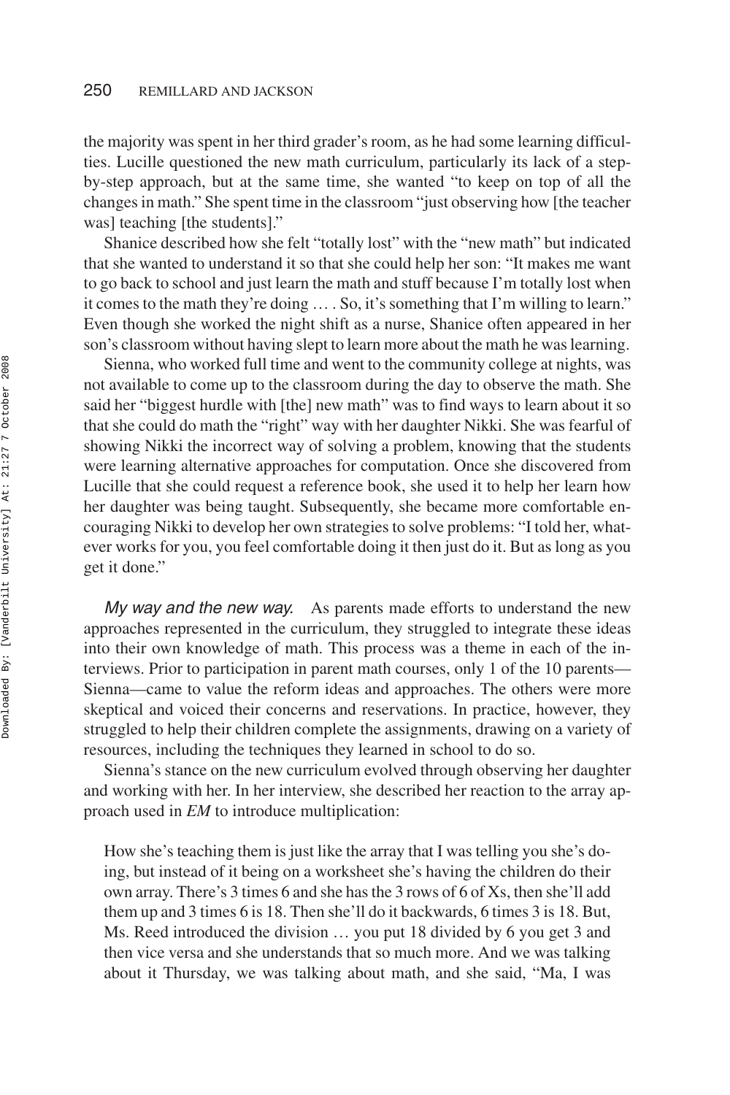the majority was spent in her third grader's room, as he had some learning difficulties. Lucille questioned the new math curriculum, particularly its lack of a stepby-step approach, but at the same time, she wanted "to keep on top of all the changes in math." She spent time in the classroom "just observing how [the teacher was] teaching [the students]."

Shanice described how she felt "totally lost" with the "new math" but indicated that she wanted to understand it so that she could help her son: "It makes me want to go back to school and just learn the math and stuff because I'm totally lost when it comes to the math they're doing … . So, it's something that I'm willing to learn." Even though she worked the night shift as a nurse, Shanice often appeared in her son's classroom without having slept to learn more about the math he was learning.

Sienna, who worked full time and went to the community college at nights, was not available to come up to the classroom during the day to observe the math. She said her "biggest hurdle with [the] new math" was to find ways to learn about it so that she could do math the "right" way with her daughter Nikki. She was fearful of showing Nikki the incorrect way of solving a problem, knowing that the students were learning alternative approaches for computation. Once she discovered from Lucille that she could request a reference book, she used it to help her learn how her daughter was being taught. Subsequently, she became more comfortable encouraging Nikki to develop her own strategies to solve problems: "I told her, whatever works for you, you feel comfortable doing it then just do it. But as long as you get it done."

My way and the new way. As parents made efforts to understand the new approaches represented in the curriculum, they struggled to integrate these ideas into their own knowledge of math. This process was a theme in each of the interviews. Prior to participation in parent math courses, only 1 of the 10 parents— Sienna—came to value the reform ideas and approaches. The others were more skeptical and voiced their concerns and reservations. In practice, however, they struggled to help their children complete the assignments, drawing on a variety of resources, including the techniques they learned in school to do so.

Sienna's stance on the new curriculum evolved through observing her daughter and working with her. In her interview, she described her reaction to the array approach used in *EM* to introduce multiplication:

How she's teaching them is just like the array that I was telling you she's doing, but instead of it being on a worksheet she's having the children do their own array. There's 3 times 6 and she has the 3 rows of 6 of Xs, then she'll add them up and 3 times 6 is 18. Then she'll do it backwards, 6 times 3 is 18. But, Ms. Reed introduced the division … you put 18 divided by 6 you get 3 and then vice versa and she understands that so much more. And we was talking about it Thursday, we was talking about math, and she said, "Ma, I was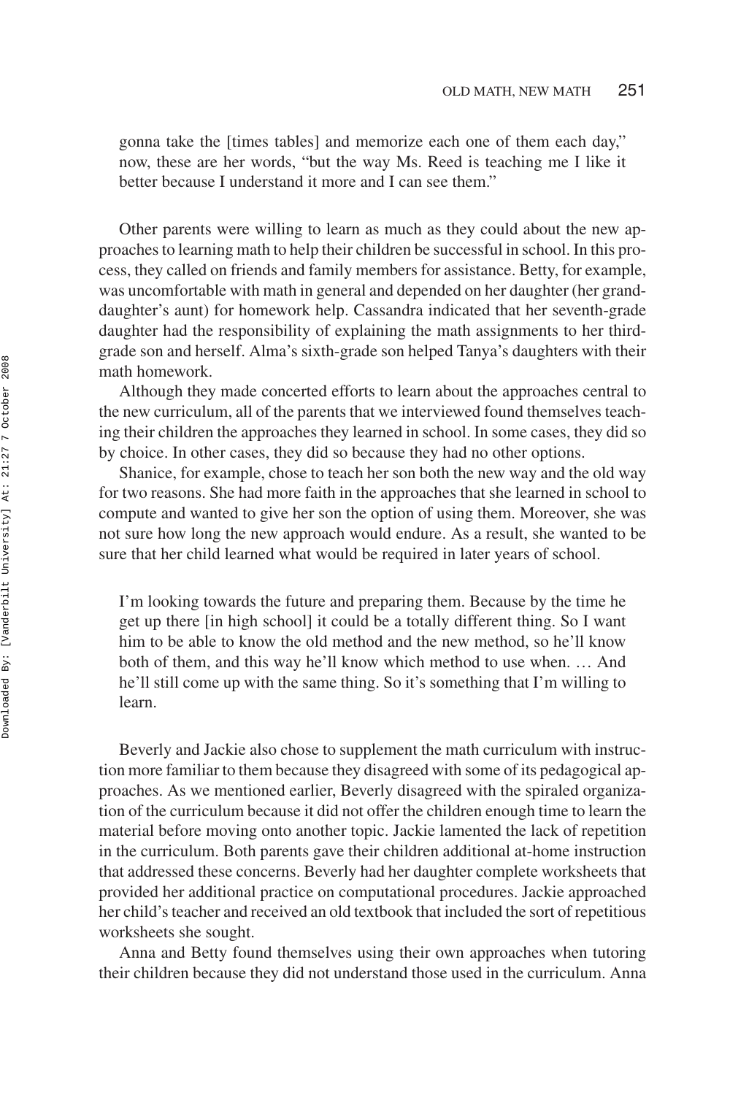gonna take the [times tables] and memorize each one of them each day," now, these are her words, "but the way Ms. Reed is teaching me I like it better because I understand it more and I can see them."

Other parents were willing to learn as much as they could about the new approaches to learning math to help their children be successful in school. In this process, they called on friends and family members for assistance. Betty, for example, was uncomfortable with math in general and depended on her daughter (her granddaughter's aunt) for homework help. Cassandra indicated that her seventh-grade daughter had the responsibility of explaining the math assignments to her thirdgrade son and herself. Alma's sixth-grade son helped Tanya's daughters with their math homework.

Although they made concerted efforts to learn about the approaches central to the new curriculum, all of the parents that we interviewed found themselves teaching their children the approaches they learned in school. In some cases, they did so by choice. In other cases, they did so because they had no other options.

Shanice, for example, chose to teach her son both the new way and the old way for two reasons. She had more faith in the approaches that she learned in school to compute and wanted to give her son the option of using them. Moreover, she was not sure how long the new approach would endure. As a result, she wanted to be sure that her child learned what would be required in later years of school.

I'm looking towards the future and preparing them. Because by the time he get up there [in high school] it could be a totally different thing. So I want him to be able to know the old method and the new method, so he'll know both of them, and this way he'll know which method to use when. … And he'll still come up with the same thing. So it's something that I'm willing to learn.

Beverly and Jackie also chose to supplement the math curriculum with instruction more familiar to them because they disagreed with some of its pedagogical approaches. As we mentioned earlier, Beverly disagreed with the spiraled organization of the curriculum because it did not offer the children enough time to learn the material before moving onto another topic. Jackie lamented the lack of repetition in the curriculum. Both parents gave their children additional at-home instruction that addressed these concerns. Beverly had her daughter complete worksheets that provided her additional practice on computational procedures. Jackie approached her child's teacher and received an old textbook that included the sort of repetitious worksheets she sought.

Anna and Betty found themselves using their own approaches when tutoring their children because they did not understand those used in the curriculum. Anna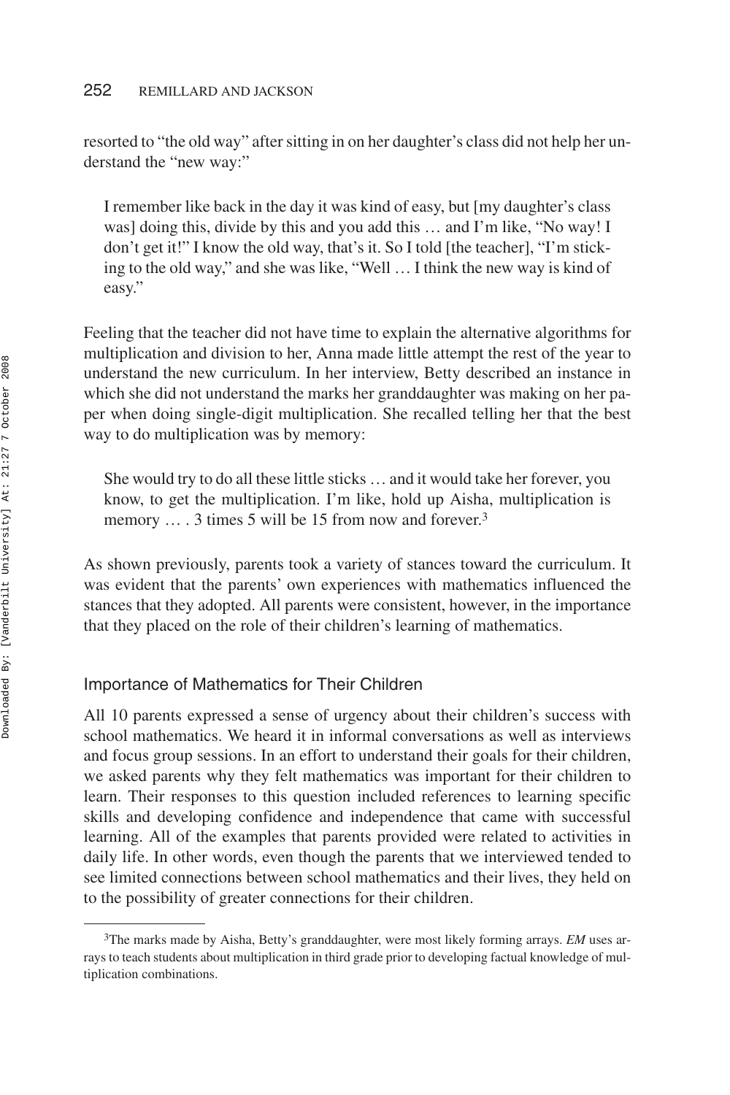#### 252 REMILLARD AND JACKSON

resorted to "the old way" after sitting in on her daughter's class did not help her understand the "new way:"

I remember like back in the day it was kind of easy, but [my daughter's class was] doing this, divide by this and you add this … and I'm like, "No way! I don't get it!" I know the old way, that's it. So I told [the teacher], "I'm sticking to the old way," and she was like, "Well … I think the new way is kind of easy."

Feeling that the teacher did not have time to explain the alternative algorithms for multiplication and division to her, Anna made little attempt the rest of the year to understand the new curriculum. In her interview, Betty described an instance in which she did not understand the marks her granddaughter was making on her paper when doing single-digit multiplication. She recalled telling her that the best way to do multiplication was by memory:

She would try to do all these little sticks … and it would take her forever, you know, to get the multiplication. I'm like, hold up Aisha, multiplication is memory ... . 3 times 5 will be 15 from now and forever.<sup>3</sup>

As shown previously, parents took a variety of stances toward the curriculum. It was evident that the parents' own experiences with mathematics influenced the stances that they adopted. All parents were consistent, however, in the importance that they placed on the role of their children's learning of mathematics.

#### Importance of Mathematics for Their Children

All 10 parents expressed a sense of urgency about their children's success with school mathematics. We heard it in informal conversations as well as interviews and focus group sessions. In an effort to understand their goals for their children, we asked parents why they felt mathematics was important for their children to learn. Their responses to this question included references to learning specific skills and developing confidence and independence that came with successful learning. All of the examples that parents provided were related to activities in daily life. In other words, even though the parents that we interviewed tended to see limited connections between school mathematics and their lives, they held on to the possibility of greater connections for their children.

<sup>3</sup>The marks made by Aisha, Betty's granddaughter, were most likely forming arrays. *EM* uses arrays to teach students about multiplication in third grade prior to developing factual knowledge of multiplication combinations.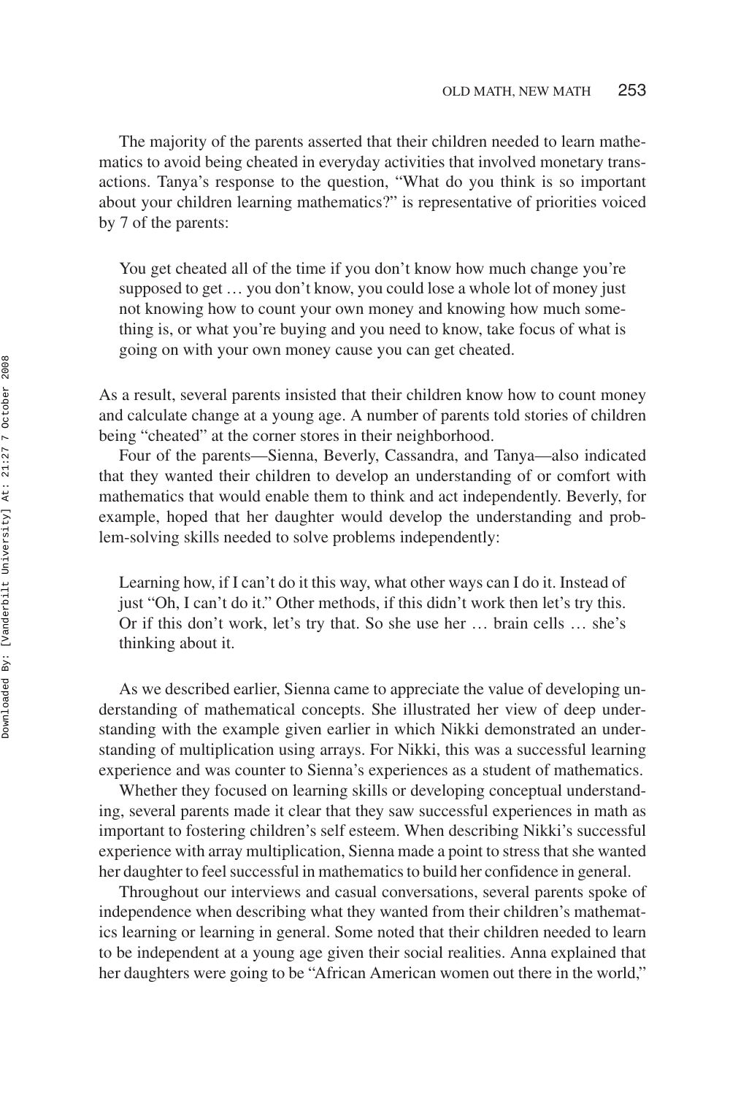The majority of the parents asserted that their children needed to learn mathematics to avoid being cheated in everyday activities that involved monetary transactions. Tanya's response to the question, "What do you think is so important about your children learning mathematics?" is representative of priorities voiced by 7 of the parents:

You get cheated all of the time if you don't know how much change you're supposed to get … you don't know, you could lose a whole lot of money just not knowing how to count your own money and knowing how much something is, or what you're buying and you need to know, take focus of what is going on with your own money cause you can get cheated.

As a result, several parents insisted that their children know how to count money and calculate change at a young age. A number of parents told stories of children being "cheated" at the corner stores in their neighborhood.

Four of the parents—Sienna, Beverly, Cassandra, and Tanya—also indicated that they wanted their children to develop an understanding of or comfort with mathematics that would enable them to think and act independently. Beverly, for example, hoped that her daughter would develop the understanding and problem-solving skills needed to solve problems independently:

Learning how, if I can't do it this way, what other ways can I do it. Instead of just "Oh, I can't do it." Other methods, if this didn't work then let's try this. Or if this don't work, let's try that. So she use her … brain cells … she's thinking about it.

As we described earlier, Sienna came to appreciate the value of developing understanding of mathematical concepts. She illustrated her view of deep understanding with the example given earlier in which Nikki demonstrated an understanding of multiplication using arrays. For Nikki, this was a successful learning experience and was counter to Sienna's experiences as a student of mathematics.

Whether they focused on learning skills or developing conceptual understanding, several parents made it clear that they saw successful experiences in math as important to fostering children's self esteem. When describing Nikki's successful experience with array multiplication, Sienna made a point to stress that she wanted her daughter to feel successful in mathematics to build her confidence in general.

Throughout our interviews and casual conversations, several parents spoke of independence when describing what they wanted from their children's mathematics learning or learning in general. Some noted that their children needed to learn to be independent at a young age given their social realities. Anna explained that her daughters were going to be "African American women out there in the world,"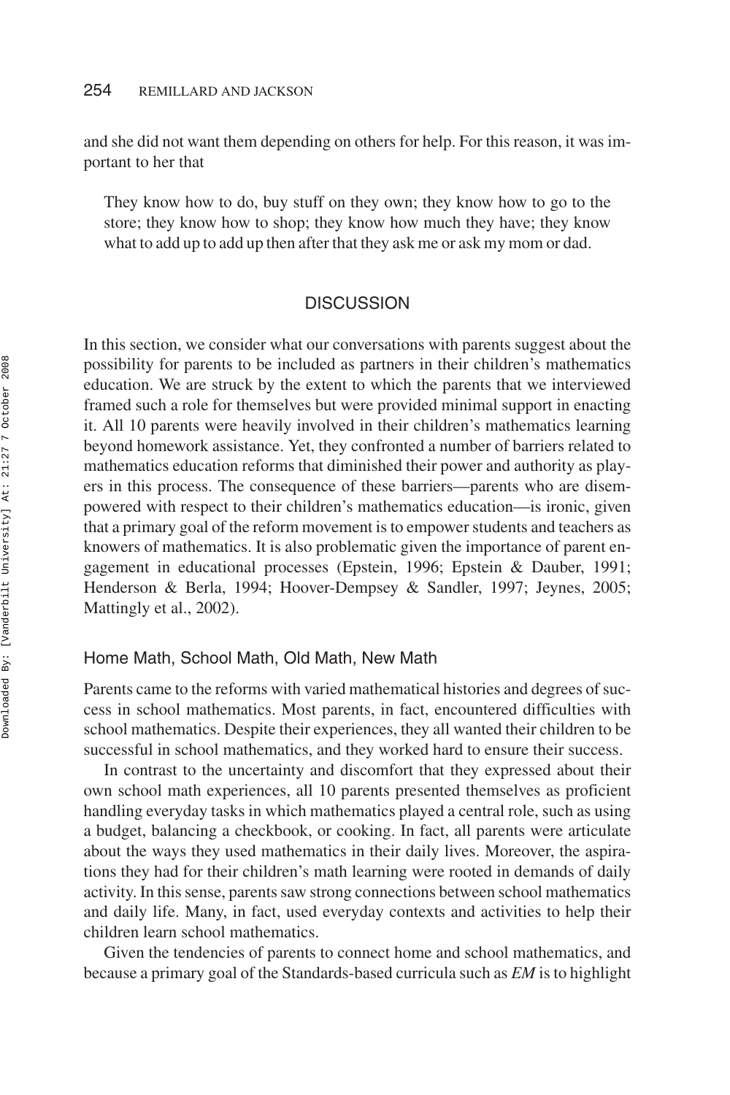and she did not want them depending on others for help. For this reason, it was important to her that

They know how to do, buy stuff on they own; they know how to go to the store; they know how to shop; they know how much they have; they know what to add up to add up then after that they ask me or ask my mom or dad.

#### **DISCUSSION**

In this section, we consider what our conversations with parents suggest about the possibility for parents to be included as partners in their children's mathematics education. We are struck by the extent to which the parents that we interviewed framed such a role for themselves but were provided minimal support in enacting it. All 10 parents were heavily involved in their children's mathematics learning beyond homework assistance. Yet, they confronted a number of barriers related to mathematics education reforms that diminished their power and authority as players in this process. The consequence of these barriers—parents who are disempowered with respect to their children's mathematics education—is ironic, given that a primary goal of the reform movement is to empower students and teachers as knowers of mathematics. It is also problematic given the importance of parent engagement in educational processes (Epstein, 1996; Epstein & Dauber, 1991; Henderson & Berla, 1994; Hoover-Dempsey & Sandler, 1997; Jeynes, 2005; Mattingly et al., 2002).

#### Home Math, School Math, Old Math, New Math

Parents came to the reforms with varied mathematical histories and degrees of success in school mathematics. Most parents, in fact, encountered difficulties with school mathematics. Despite their experiences, they all wanted their children to be successful in school mathematics, and they worked hard to ensure their success.

In contrast to the uncertainty and discomfort that they expressed about their own school math experiences, all 10 parents presented themselves as proficient handling everyday tasks in which mathematics played a central role, such as using a budget, balancing a checkbook, or cooking. In fact, all parents were articulate about the ways they used mathematics in their daily lives. Moreover, the aspirations they had for their children's math learning were rooted in demands of daily activity. In this sense, parents saw strong connections between school mathematics and daily life. Many, in fact, used everyday contexts and activities to help their children learn school mathematics.

Given the tendencies of parents to connect home and school mathematics, and because a primary goal of the Standards-based curricula such as *EM* is to highlight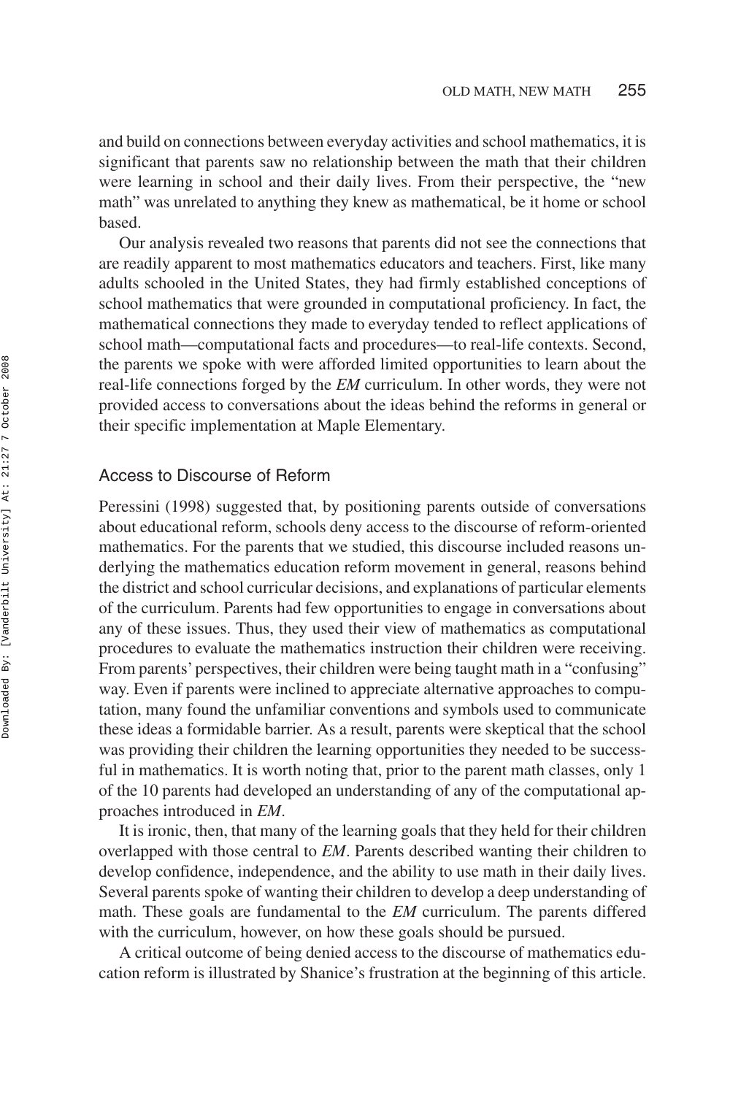and build on connections between everyday activities and school mathematics, it is significant that parents saw no relationship between the math that their children were learning in school and their daily lives. From their perspective, the "new math" was unrelated to anything they knew as mathematical, be it home or school based.

Our analysis revealed two reasons that parents did not see the connections that are readily apparent to most mathematics educators and teachers. First, like many adults schooled in the United States, they had firmly established conceptions of school mathematics that were grounded in computational proficiency. In fact, the mathematical connections they made to everyday tended to reflect applications of school math—computational facts and procedures—to real-life contexts. Second, the parents we spoke with were afforded limited opportunities to learn about the real-life connections forged by the *EM* curriculum. In other words, they were not provided access to conversations about the ideas behind the reforms in general or their specific implementation at Maple Elementary.

#### Access to Discourse of Reform

Peressini (1998) suggested that, by positioning parents outside of conversations about educational reform, schools deny access to the discourse of reform-oriented mathematics. For the parents that we studied, this discourse included reasons underlying the mathematics education reform movement in general, reasons behind the district and school curricular decisions, and explanations of particular elements of the curriculum. Parents had few opportunities to engage in conversations about any of these issues. Thus, they used their view of mathematics as computational procedures to evaluate the mathematics instruction their children were receiving. From parents' perspectives, their children were being taught math in a "confusing" way. Even if parents were inclined to appreciate alternative approaches to computation, many found the unfamiliar conventions and symbols used to communicate these ideas a formidable barrier. As a result, parents were skeptical that the school was providing their children the learning opportunities they needed to be successful in mathematics. It is worth noting that, prior to the parent math classes, only 1 of the 10 parents had developed an understanding of any of the computational approaches introduced in *EM*.

It is ironic, then, that many of the learning goals that they held for their children overlapped with those central to *EM*. Parents described wanting their children to develop confidence, independence, and the ability to use math in their daily lives. Several parents spoke of wanting their children to develop a deep understanding of math. These goals are fundamental to the *EM* curriculum. The parents differed with the curriculum, however, on how these goals should be pursued.

A critical outcome of being denied access to the discourse of mathematics education reform is illustrated by Shanice's frustration at the beginning of this article.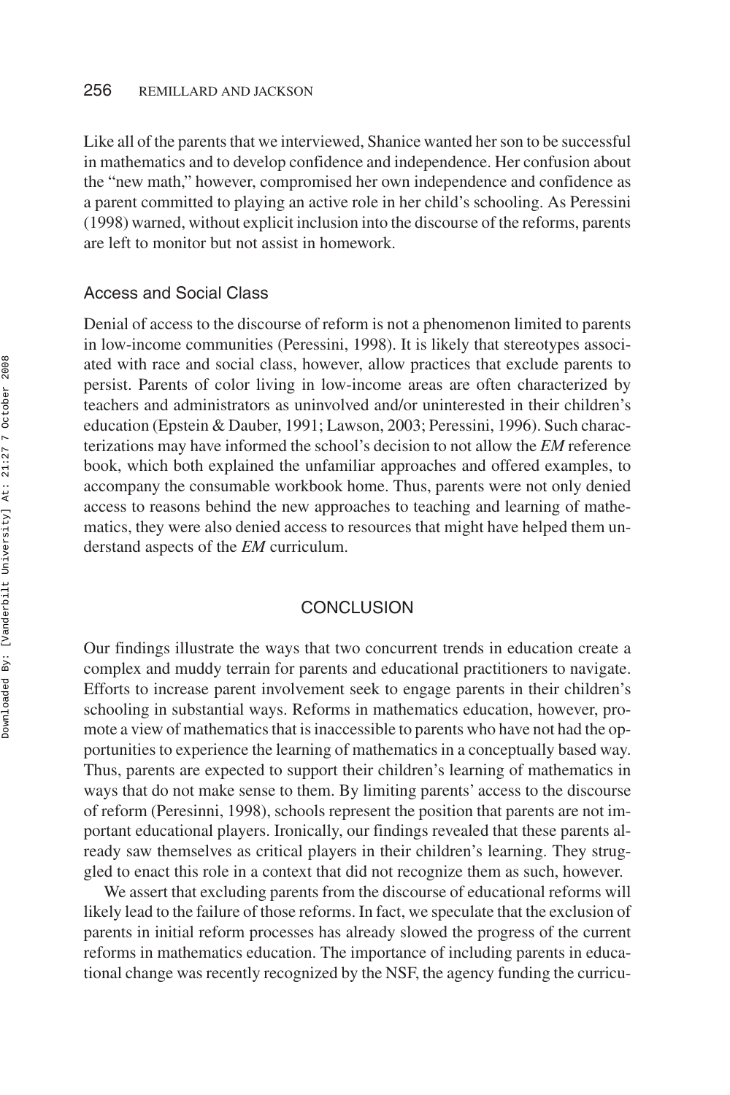#### 256 REMILLARD AND JACKSON

Like all of the parents that we interviewed, Shanice wanted her son to be successful in mathematics and to develop confidence and independence. Her confusion about the "new math," however, compromised her own independence and confidence as a parent committed to playing an active role in her child's schooling. As Peressini (1998) warned, without explicit inclusion into the discourse of the reforms, parents are left to monitor but not assist in homework.

#### Access and Social Class

Denial of access to the discourse of reform is not a phenomenon limited to parents in low-income communities (Peressini, 1998). It is likely that stereotypes associated with race and social class, however, allow practices that exclude parents to persist. Parents of color living in low-income areas are often characterized by teachers and administrators as uninvolved and/or uninterested in their children's education (Epstein & Dauber, 1991; Lawson, 2003; Peressini, 1996). Such characterizations may have informed the school's decision to not allow the *EM* reference book, which both explained the unfamiliar approaches and offered examples, to accompany the consumable workbook home. Thus, parents were not only denied access to reasons behind the new approaches to teaching and learning of mathematics, they were also denied access to resources that might have helped them understand aspects of the *EM* curriculum.

#### **CONCLUSION**

Our findings illustrate the ways that two concurrent trends in education create a complex and muddy terrain for parents and educational practitioners to navigate. Efforts to increase parent involvement seek to engage parents in their children's schooling in substantial ways. Reforms in mathematics education, however, promote a view of mathematics that is inaccessible to parents who have not had the opportunities to experience the learning of mathematics in a conceptually based way. Thus, parents are expected to support their children's learning of mathematics in ways that do not make sense to them. By limiting parents' access to the discourse of reform (Peresinni, 1998), schools represent the position that parents are not important educational players. Ironically, our findings revealed that these parents already saw themselves as critical players in their children's learning. They struggled to enact this role in a context that did not recognize them as such, however.

We assert that excluding parents from the discourse of educational reforms will likely lead to the failure of those reforms. In fact, we speculate that the exclusion of parents in initial reform processes has already slowed the progress of the current reforms in mathematics education. The importance of including parents in educational change was recently recognized by the NSF, the agency funding the curricu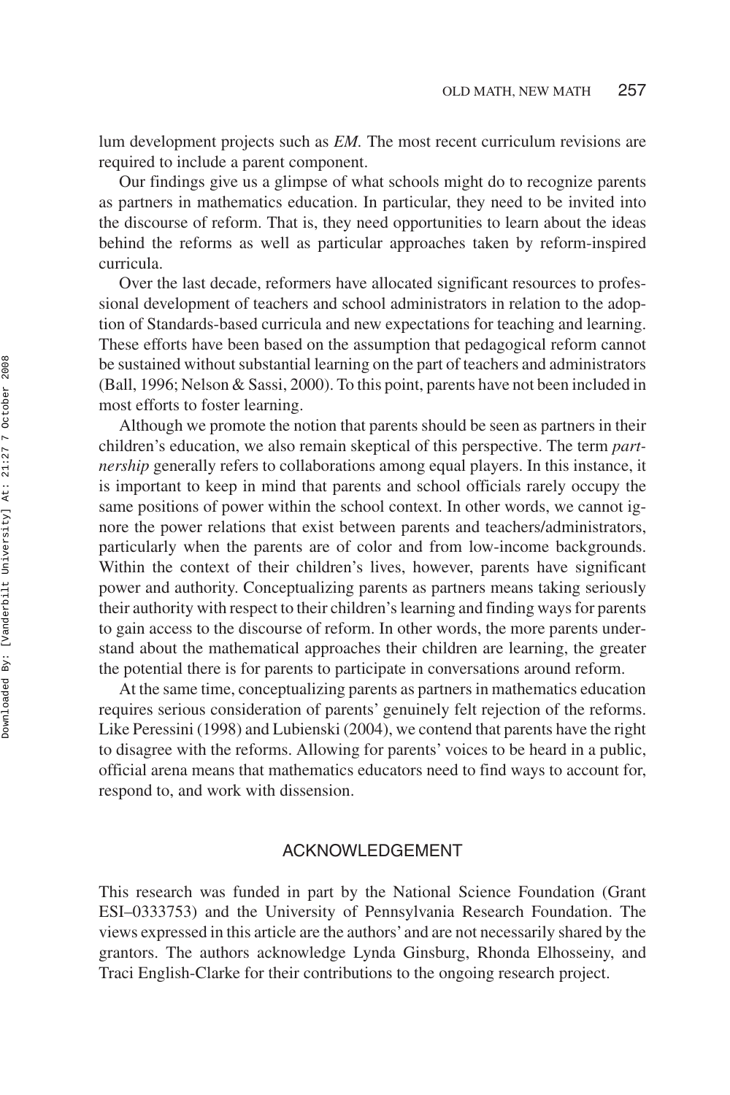lum development projects such as *EM.* The most recent curriculum revisions are required to include a parent component.

Our findings give us a glimpse of what schools might do to recognize parents as partners in mathematics education. In particular, they need to be invited into the discourse of reform. That is, they need opportunities to learn about the ideas behind the reforms as well as particular approaches taken by reform-inspired curricula.

Over the last decade, reformers have allocated significant resources to professional development of teachers and school administrators in relation to the adoption of Standards-based curricula and new expectations for teaching and learning. These efforts have been based on the assumption that pedagogical reform cannot be sustained without substantial learning on the part of teachers and administrators (Ball, 1996; Nelson & Sassi, 2000). To this point, parents have not been included in most efforts to foster learning.

Although we promote the notion that parents should be seen as partners in their children's education, we also remain skeptical of this perspective. The term *partnership* generally refers to collaborations among equal players. In this instance, it is important to keep in mind that parents and school officials rarely occupy the same positions of power within the school context. In other words, we cannot ignore the power relations that exist between parents and teachers/administrators, particularly when the parents are of color and from low-income backgrounds. Within the context of their children's lives, however, parents have significant power and authority. Conceptualizing parents as partners means taking seriously their authority with respect to their children's learning and finding ways for parents to gain access to the discourse of reform. In other words, the more parents understand about the mathematical approaches their children are learning, the greater the potential there is for parents to participate in conversations around reform.

At the same time, conceptualizing parents as partners in mathematics education requires serious consideration of parents' genuinely felt rejection of the reforms. Like Peressini (1998) and Lubienski (2004), we contend that parents have the right to disagree with the reforms. Allowing for parents' voices to be heard in a public, official arena means that mathematics educators need to find ways to account for, respond to, and work with dissension.

#### ACKNOWLEDGEMENT

This research was funded in part by the National Science Foundation (Grant ESI–0333753) and the University of Pennsylvania Research Foundation. The views expressed in this article are the authors'and are not necessarily shared by the grantors. The authors acknowledge Lynda Ginsburg, Rhonda Elhosseiny, and Traci English-Clarke for their contributions to the ongoing research project.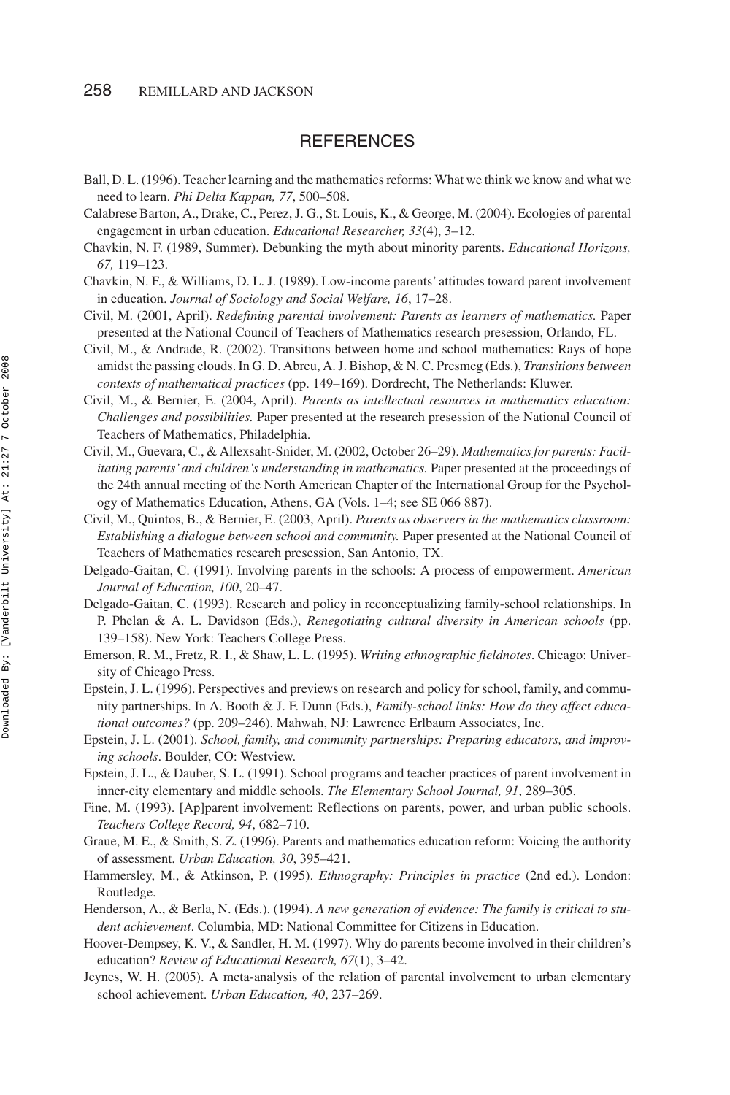#### 258 REMILLARD AND JACKSON

#### **REFERENCES**

- Ball, D. L. (1996). Teacher learning and the mathematics reforms: What we think we know and what we need to learn. *Phi Delta Kappan, 77*, 500–508.
- Calabrese Barton, A., Drake, C., Perez, J. G., St. Louis, K., & George, M. (2004). Ecologies of parental engagement in urban education. *Educational Researcher, 33*(4), 3–12.
- Chavkin, N. F. (1989, Summer). Debunking the myth about minority parents. *Educational Horizons, 67,* 119–123.
- Chavkin, N. F., & Williams, D. L. J. (1989). Low-income parents' attitudes toward parent involvement in education. *Journal of Sociology and Social Welfare, 16*, 17–28.
- Civil, M. (2001, April). *Redefining parental involvement: Parents as learners of mathematics.* Paper presented at the National Council of Teachers of Mathematics research presession, Orlando, FL.
- Civil, M., & Andrade, R. (2002). Transitions between home and school mathematics: Rays of hope amidst the passing clouds. In G. D. Abreu, A. J. Bishop, & N. C. Presmeg (Eds.), *Transitions between contexts of mathematical practices* (pp. 149–169). Dordrecht, The Netherlands: Kluwer.
- Civil, M., & Bernier, E. (2004, April). *Parents as intellectual resources in mathematics education: Challenges and possibilities.* Paper presented at the research presession of the National Council of Teachers of Mathematics, Philadelphia.
- Civil, M., Guevara, C., & Allexsaht-Snider, M. (2002, October 26–29). *Mathematics for parents: Facilitating parents'and children's understanding in mathematics.* Paper presented at the proceedings of the 24th annual meeting of the North American Chapter of the International Group for the Psychology of Mathematics Education, Athens, GA (Vols. 1–4; see SE 066 887).
- Civil, M., Quintos, B., & Bernier, E. (2003, April). *Parents as observers in the mathematics classroom: Establishing a dialogue between school and community.* Paper presented at the National Council of Teachers of Mathematics research presession, San Antonio, TX.
- Delgado-Gaitan, C. (1991). Involving parents in the schools: A process of empowerment. *American Journal of Education, 100*, 20–47.
- Delgado-Gaitan, C. (1993). Research and policy in reconceptualizing family-school relationships. In P. Phelan & A. L. Davidson (Eds.), *Renegotiating cultural diversity in American schools* (pp. 139–158). New York: Teachers College Press.
- Emerson, R. M., Fretz, R. I., & Shaw, L. L. (1995). *Writing ethnographic fieldnotes*. Chicago: University of Chicago Press.
- Epstein, J. L. (1996). Perspectives and previews on research and policy for school, family, and community partnerships. In A. Booth & J. F. Dunn (Eds.), *Family-school links: How do they affect educational outcomes?* (pp. 209–246). Mahwah, NJ: Lawrence Erlbaum Associates, Inc.
- Epstein, J. L. (2001). *School, family, and community partnerships: Preparing educators, and improving schools*. Boulder, CO: Westview.
- Epstein, J. L., & Dauber, S. L. (1991). School programs and teacher practices of parent involvement in inner-city elementary and middle schools. *The Elementary School Journal, 91*, 289–305.
- Fine, M. (1993). [Ap]parent involvement: Reflections on parents, power, and urban public schools. *Teachers College Record, 94*, 682–710.
- Graue, M. E., & Smith, S. Z. (1996). Parents and mathematics education reform: Voicing the authority of assessment. *Urban Education, 30*, 395–421.
- Hammersley, M., & Atkinson, P. (1995). *Ethnography: Principles in practice* (2nd ed.). London: Routledge.
- Henderson, A., & Berla, N. (Eds.). (1994). *A new generation of evidence: The family is critical to student achievement*. Columbia, MD: National Committee for Citizens in Education.
- Hoover-Dempsey, K. V., & Sandler, H. M. (1997). Why do parents become involved in their children's education? *Review of Educational Research, 67*(1), 3–42.
- Jeynes, W. H. (2005). A meta-analysis of the relation of parental involvement to urban elementary school achievement. *Urban Education, 40*, 237–269.